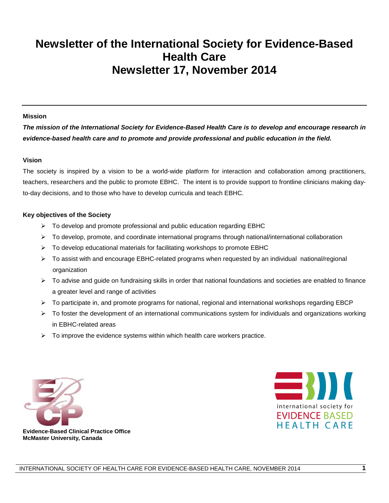# **Newsletter of the International Society for Evidence-Based Health Care Newsletter 17, November 2014**

#### **Mission**

*The mission of the International Society for Evidence-Based Health Care is to develop and encourage research in evidence-based health care and to promote and provide professional and public education in the field.*

#### **Vision**

The society is inspired by a vision to be a world-wide platform for interaction and collaboration among practitioners, teachers, researchers and the public to promote EBHC. The intent is to provide support to frontline clinicians making dayto-day decisions, and to those who have to develop curricula and teach EBHC.

#### **Key objectives of the Society**

- $\triangleright$  To develop and promote professional and public education regarding EBHC
- $\triangleright$  To develop, promote, and coordinate international programs through national/international collaboration
- $\triangleright$  To develop educational materials for facilitating workshops to promote EBHC
- $\triangleright$  To assist with and encourage EBHC-related programs when requested by an individual national/regional organization
- $\triangleright$  To advise and guide on fundraising skills in order that national foundations and societies are enabled to finance a greater level and range of activities
- $\triangleright$  To participate in, and promote programs for national, regional and international workshops regarding EBCP
- $\triangleright$  To foster the development of an international communications system for individuals and organizations working in EBHC-related areas
- $\triangleright$  To improve the evidence systems within which health care workers practice.





**Evidence-Based Clinical Practice Office McMaster University, Canada**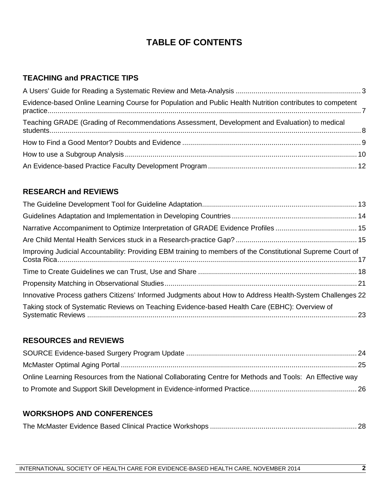# **TABLE OF CONTENTS**

# **TEACHING and PRACTICE TIPS**

| Evidence-based Online Learning Course for Population and Public Health Nutrition contributes to competent |  |
|-----------------------------------------------------------------------------------------------------------|--|
| Teaching GRADE (Grading of Recommendations Assessment, Development and Evaluation) to medical             |  |
|                                                                                                           |  |
|                                                                                                           |  |
|                                                                                                           |  |

# **RESEARCH and REVIEWS**

| Improving Judicial Accountability: Providing EBM training to members of the Constitutional Supreme Court of |  |
|-------------------------------------------------------------------------------------------------------------|--|
|                                                                                                             |  |
|                                                                                                             |  |
| Innovative Process gathers Citizens' Informed Judgments about How to Address Health-System Challenges 22    |  |
| Taking stock of Systematic Reviews on Teaching Evidence-based Health Care (EBHC): Overview of               |  |

# **RESOURCES and REVIEWS**

| Online Learning Resources from the National Collaborating Centre for Methods and Tools: An Effective way |  |
|----------------------------------------------------------------------------------------------------------|--|
|                                                                                                          |  |

# **WORKSHOPS AND CONFERENCES**

|--|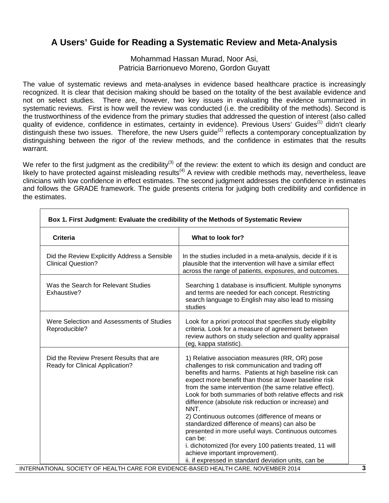# **A Users' Guide for Reading a Systematic Review and Meta-Analysis**

Mohammad Hassan Murad, Noor Asi, Patricia Barrionuevo Moreno, Gordon Guyatt

The value of systematic reviews and meta-analyses in evidence based healthcare practice is increasingly recognized. It is clear that decision making should be based on the totality of the best available evidence and not on select studies. There are, however, two key issues in evaluating the evidence summarized in systematic reviews. First is how well the review was conducted (i.e. the credibility of the methods). Second is the trustworthiness of the evidence from the primary studies that addressed the question of interest (also called quality of evidence, confidence in estimates, certainty in evidence). Previous Users' Guides<sup>(1)</sup> didn't clearly distinguish these two issues. Therefore, the new Users guide<sup>(2)</sup> reflects a contemporary conceptualization by distinguishing between the rigor of the review methods, and the confidence in estimates that the results warrant.

We refer to the first judgment as the credibility<sup>(3)</sup> of the review: the extent to which its design and conduct are likely to have protected against misleading results<sup>(4)</sup> A review with credible methods may, nevertheless, leave clinicians with low confidence in effect estimates. The second judgment addresses the confidence in estimates and follows the GRADE framework. The guide presents criteria for judging both credibility and confidence in the estimates.

| <b>Criteria</b>                                                            | What to look for?                                                                                                                                                                                                                                                                                                                                                                                                                                                                                                                                                                                                                                                               |
|----------------------------------------------------------------------------|---------------------------------------------------------------------------------------------------------------------------------------------------------------------------------------------------------------------------------------------------------------------------------------------------------------------------------------------------------------------------------------------------------------------------------------------------------------------------------------------------------------------------------------------------------------------------------------------------------------------------------------------------------------------------------|
| Did the Review Explicitly Address a Sensible<br><b>Clinical Question?</b>  | In the studies included in a meta-analysis, decide if it is<br>plausible that the intervention will have a similar effect<br>across the range of patients, exposures, and outcomes.                                                                                                                                                                                                                                                                                                                                                                                                                                                                                             |
| Was the Search for Relevant Studies<br>Exhaustive?                         | Searching 1 database is insufficient. Multiple synonyms<br>and terms are needed for each concept. Restricting<br>search language to English may also lead to missing<br>studies                                                                                                                                                                                                                                                                                                                                                                                                                                                                                                 |
| Were Selection and Assessments of Studies<br>Reproducible?                 | Look for a priori protocol that specifies study eligibility<br>criteria. Look for a measure of agreement between<br>review authors on study selection and quality appraisal<br>(eg, kappa statistic).                                                                                                                                                                                                                                                                                                                                                                                                                                                                           |
| Did the Review Present Results that are<br>Ready for Clinical Application? | 1) Relative association measures (RR, OR) pose<br>challenges to risk communication and trading off<br>benefits and harms. Patients at high baseline risk can<br>expect more benefit than those at lower baseline risk<br>from the same intervention (the same relative effect).<br>Look for both summaries of both relative effects and risk<br>difference (absolute risk reduction or increase) and<br>NNT.<br>2) Continuous outcomes (difference of means or<br>standardized difference of means) can also be<br>presented in more useful ways. Continuous outcomes<br>can be:<br>i. dichotomized (for every 100 patients treated, 11 will<br>achieve important improvement). |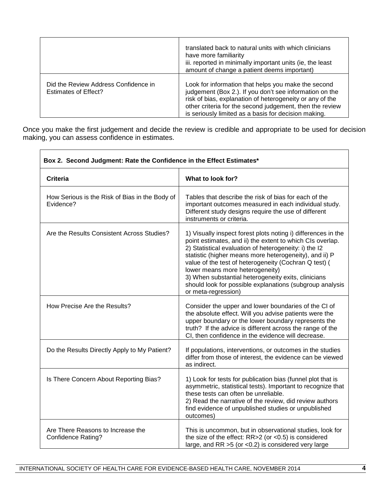|                                                                     | translated back to natural units with which clinicians<br>have more familiarity<br>iii. reported in minimally important units (ie, the least<br>amount of change a patient deems important)                                                                                                    |
|---------------------------------------------------------------------|------------------------------------------------------------------------------------------------------------------------------------------------------------------------------------------------------------------------------------------------------------------------------------------------|
| Did the Review Address Confidence in<br><b>Estimates of Effect?</b> | Look for information that helps you make the second<br>judgement (Box 2.). If you don't see information on the<br>risk of bias, explanation of heterogeneity or any of the<br>other criteria for the second judgement, then the review<br>is seriously limited as a basis for decision making. |

Once you make the first judgement and decide the review is credible and appropriate to be used for decision making, you can assess confidence in estimates.

 $\overline{\phantom{0}}$ 

| Box 2. Second Judgment: Rate the Confidence in the Effect Estimates* |                                                                                                                                                                                                                                                                                                                                                                                                                                                                                                                                                                                                                                                                                           |
|----------------------------------------------------------------------|-------------------------------------------------------------------------------------------------------------------------------------------------------------------------------------------------------------------------------------------------------------------------------------------------------------------------------------------------------------------------------------------------------------------------------------------------------------------------------------------------------------------------------------------------------------------------------------------------------------------------------------------------------------------------------------------|
| <b>Criteria</b>                                                      | What to look for?                                                                                                                                                                                                                                                                                                                                                                                                                                                                                                                                                                                                                                                                         |
| How Serious is the Risk of Bias in the Body of<br>Evidence?          | Tables that describe the risk of bias for each of the<br>important outcomes measured in each individual study.<br>Different study designs require the use of different<br>instruments or criteria.<br>1) Visually inspect forest plots noting i) differences in the<br>point estimates, and ii) the extent to which CIs overlap.<br>2) Statistical evaluation of heterogeneity: i) the I2<br>statistic (higher means more heterogeneity), and ii) P<br>value of the test of heterogeneity (Cochran Q test) (<br>lower means more heterogeneity)<br>3) When substantial heterogeneity exits, clinicians<br>should look for possible explanations (subgroup analysis<br>or meta-regression) |
| Are the Results Consistent Across Studies?                           |                                                                                                                                                                                                                                                                                                                                                                                                                                                                                                                                                                                                                                                                                           |
| How Precise Are the Results?                                         | Consider the upper and lower boundaries of the CI of<br>the absolute effect. Will you advise patients were the<br>upper boundary or the lower boundary represents the<br>truth? If the advice is different across the range of the<br>CI, then confidence in the evidence will decrease.                                                                                                                                                                                                                                                                                                                                                                                                  |
| Do the Results Directly Apply to My Patient?                         | If populations, interventions, or outcomes in the studies<br>differ from those of interest, the evidence can be viewed<br>as indirect.                                                                                                                                                                                                                                                                                                                                                                                                                                                                                                                                                    |
| Is There Concern About Reporting Bias?                               | 1) Look for tests for publication bias (funnel plot that is<br>asymmetric, statistical tests). Important to recognize that<br>these tests can often be unreliable.<br>2) Read the narrative of the review, did review authors<br>find evidence of unpublished studies or unpublished<br>outcomes)                                                                                                                                                                                                                                                                                                                                                                                         |
| Are There Reasons to Increase the<br><b>Confidence Rating?</b>       | This is uncommon, but in observational studies, look for<br>the size of the effect: RR>2 (or <0.5) is considered<br>large, and RR $>5$ (or $<$ 0.2) is considered very large                                                                                                                                                                                                                                                                                                                                                                                                                                                                                                              |

٦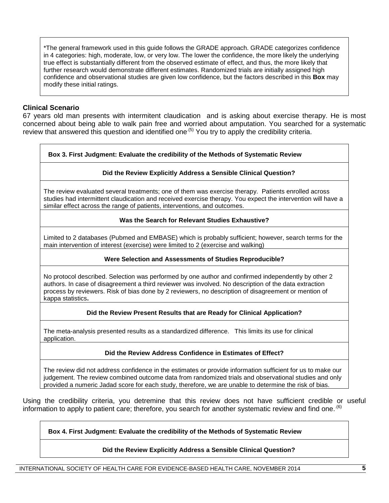\*The general framework used in this guide follows the GRADE approach. GRADE categorizes confidence in 4 categories: high, moderate, low, or very low. The lower the confidence, the more likely the underlying true effect is substantially different from the observed estimate of effect, and thus, the more likely that further research would demonstrate different estimates. Randomized trials are initially assigned high confidence and observational studies are given low confidence, but the factors described in this **Box** may modify these initial ratings.

### **Clinical Scenario**

67 years old man presents with intermitent claudication and is asking about exercise therapy. He is most concerned about being able to walk pain free and worried about amputation. You searched for a systematic review that answered this question and identified one<sup>(5)</sup> You try to apply the credibility criteria.

### **Box 3. First Judgment: Evaluate the credibility of the Methods of Systematic Review**

### **Did the Review Explicitly Address a Sensible Clinical Question?**

The review evaluated several treatments; one of them was exercise therapy. Patients enrolled across studies had intermittent claudication and received exercise therapy. You expect the intervention will have a similar effect across the range of patients, interventions, and outcomes.

#### **Was the Search for Relevant Studies Exhaustive?**

Limited to 2 databases (Pubmed and EMBASE) which is probably sufficient; however, search terms for the main intervention of interest (exercise) were limited to 2 (exercise and walking)

### **Were Selection and Assessments of Studies Reproducible?**

No protocol described. Selection was performed by one author and confirmed independently by other 2 authors. In case of disagreement a third reviewer was involved. No description of the data extraction process by reviewers. Risk of bias done by 2 reviewers, no description of disagreement or mention of kappa statistics**.**

### **Did the Review Present Results that are Ready for Clinical Application?**

The meta-analysis presented results as a standardized difference. This limits its use for clinical application.

### **Did the Review Address Confidence in Estimates of Effect?**

The review did not address confidence in the estimates or provide information sufficient for us to make our judgement. The review combined outcome data from randomized trials and observational studies and only provided a numeric Jadad score for each study, therefore, we are unable to determine the risk of bias.

Using the credibility criteria, you detremine that this review does not have sufficient credible or useful information to apply to patient care; therefore, you search for another systematic review and find one.  $(6)$ 

### **Box 4. First Judgment: Evaluate the credibility of the Methods of Systematic Review**

#### **Did the Review Explicitly Address a Sensible Clinical Question?**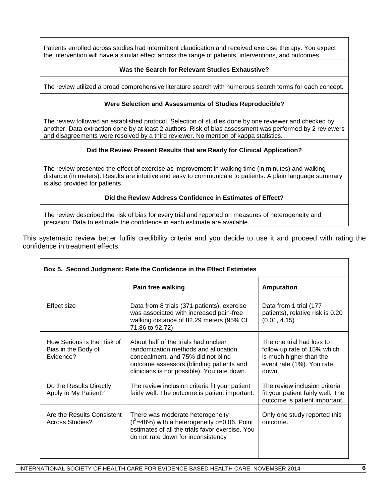Patients enrolled across studies had intermittent claudication and received exercise therapy. You expect the intervention will have a similar effect across the range of patients, interventions, and outcomes.

### **Was the Search for Relevant Studies Exhaustive?**

The review utilized a broad comprehensive literature search with numerous search terms for each concept.

### **Were Selection and Assessments of Studies Reproducible?**

The review followed an established protocol. Selection of studies done by one reviewer and checked by another. Data extraction done by at least 2 authors. Risk of bias assessment was performed by 2 reviewers and disagreements were resolved by a third reviewer. No mention of kappa statistics.

### **Did the Review Present Results that are Ready for Clinical Application?**

The review presented the effect of exercise as improvement in walking time (in minutes) and walking distance (in meters). Results are intuitive and easy to communicate to patients. A plain language summary is also provided for patients.

**Did the Review Address Confidence in Estimates of Effect?**

The review described the risk of bias for every trial and reported on measures of heterogeneity and precision. Data to estimate the confidence in each estimate are available.

This systematic review better fulfils credibility criteria and you decide to use it and proceed with rating the confidence in treatment effects.

|                                                                | Box 5. Second Judgment: Rate the Confidence in the Effect Estimates                                                                                                                                           |                                                                                                                           |
|----------------------------------------------------------------|---------------------------------------------------------------------------------------------------------------------------------------------------------------------------------------------------------------|---------------------------------------------------------------------------------------------------------------------------|
|                                                                | Pain free walking                                                                                                                                                                                             | <b>Amputation</b>                                                                                                         |
| Effect size                                                    | Data from 8 trials (371 patients), exercise<br>was associated with increased pain-free<br>walking distance of 82.29 meters (95% CI<br>71.86 to 92.72)                                                         | Data from 1 trial (177<br>patients), relative risk is 0.20<br>(0.01, 4.15)                                                |
| How Serious is the Risk of<br>Bias in the Body of<br>Evidence? | About half of the trials had unclear<br>randomization methods and allocation<br>concealment, and 75% did not blind<br>outcome assessors (blinding patients and<br>clinicians is not possible). You rate down. | The one trial had loss to<br>follow up rate of 15% which<br>is much higher than the<br>event rate (1%). You rate<br>down. |
| Do the Results Directly<br>Apply to My Patient?                | The review inclusion criteria fit your patient<br>fairly well. The outcome is patient important.                                                                                                              | The review inclusion criteria<br>fit your patient fairly well. The<br>outcome is patient important.                       |
| Are the Results Consistent<br>Across Studies?                  | There was moderate heterogeneity<br>$(I^2=48\%)$ with a heterogeneity p=0.06. Point<br>estimates of all the trials favor exercise. You<br>do not rate down for inconsistency                                  | Only one study reported this<br>outcome.                                                                                  |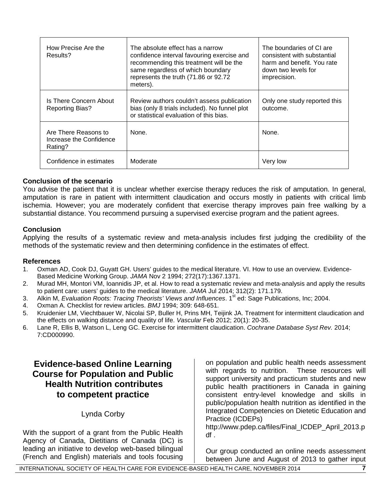| How Precise Are the<br>Results?                            | The absolute effect has a narrow<br>confidence interval favouring exercise and<br>recommending this treatment will be the<br>same regardless of which boundary<br>represents the truth (71.86 or 92.72<br>meters). | The boundaries of CI are<br>consistent with substantial<br>harm and benefit. You rate<br>down two levels for<br>imprecision. |
|------------------------------------------------------------|--------------------------------------------------------------------------------------------------------------------------------------------------------------------------------------------------------------------|------------------------------------------------------------------------------------------------------------------------------|
| Is There Concern About<br><b>Reporting Bias?</b>           | Review authors couldn't assess publication<br>bias (only 8 trials included). No funnel plot<br>or statistical evaluation of this bias.                                                                             | Only one study reported this<br>outcome.                                                                                     |
| Are There Reasons to<br>Increase the Confidence<br>Rating? | None.                                                                                                                                                                                                              | None.                                                                                                                        |
| Confidence in estimates                                    | Moderate                                                                                                                                                                                                           | Very low                                                                                                                     |

### **Conclusion of the scenario**

You advise the patient that it is unclear whether exercise therapy reduces the risk of amputation. In general, amputation is rare in patient with intermittent claudication and occurs mostly in patients with critical limb ischemia. However; you are moderately confident that exercise therapy improves pain free walking by a substantial distance. You recommend pursuing a supervised exercise program and the patient agrees.

### **Conclusion**

Applying the results of a systematic review and meta-analysis includes first judging the credibility of the methods of the systematic review and then determining confidence in the estimates of effect.

### **References**

- 1. Oxman AD, Cook DJ, Guyatt GH. Users' guides to the medical literature. VI. How to use an overview. Evidence-Based Medicine Working Group. *JAMA* Nov 2 1994; 272(17):1367.1371.
- 2. Murad MH, Montori VM, Ioannidis JP, et al. How to read a systematic review and meta-analysis and apply the results to patient care: users' guides to the medical literature. *JAMA* Jul 2014; 312(2): 171.179.
- 3. Alkin M, *Evaluation Roots: Tracing Theorists' Views and Influences*. 1<sup>st</sup> ed: Sage Publications, Inc; 2004.
- 4. Oxman A. Checklist for review articles. *BMJ* 1994; 309: 648-651.
- 5. Kruidenier LM, Viechtbauer W, Nicolai SP, Buller H, Prins MH, Teijink JA. Treatment for intermittent claudication and the effects on walking distance and quality of life. *Vascular* Feb 2012; 20(1): 20-35.
- 6. Lane R, Ellis B, Watson L, Leng GC. Exercise for intermittent claudication. *Cochrane Database Syst Rev.* 2014; 7:CD000990.

# **Evidence-based Online Learning Course for Population and Public Health Nutrition contributes to competent practice**

Lynda Corby

With the support of a grant from the Public Health Agency of Canada, Dietitians of Canada (DC) is leading an initiative to develop web-based bilingual (French and English) materials and tools focusing

on population and public health needs assessment with regards to nutrition. These resources will support university and practicum students and new public health practitioners in Canada in gaining consistent entry-level knowledge and skills in public/population health nutrition as identified in the Integrated Competencies on Dietetic Education and Practice (ICDEPs)

http://www.pdep.ca/files/Final\_ICDEP\_April\_2013.p df .

Our group conducted an online needs assessment between June and August of 2013 to gather input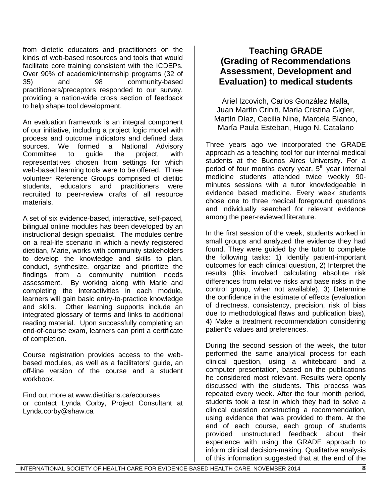from dietetic educators and practitioners on the kinds of web-based resources and tools that would facilitate core training consistent with the ICDEPs. Over 90% of academic/internship programs (32 of 35) and 98 community-based practitioners/preceptors responded to our survey, providing a nation-wide cross section of feedback to help shape tool development.

An evaluation framework is an integral component of our initiative, including a project logic model with process and outcome indicators and defined data sources. We formed a National Advisory Committee to guide the project, with representatives chosen from settings for which web-based learning tools were to be offered. Three volunteer Reference Groups comprised of dietitic students, educators and practitioners were recruited to peer-review drafts of all resource materials.

A set of six evidence-based, interactive, self-paced, bilingual online modules has been developed by an instructional design specialist. The modules centre on a real-life scenario in which a newly registered dietitian, Marie, works with community stakeholders to develop the knowledge and skills to plan, conduct, synthesize, organize and prioritize the findings from a community nutrition needs assessment. By working along with Marie and completing the interactivities in each module, learners will gain basic entry-to-practice knowledge and skills. Other learning supports include an integrated glossary of terms and links to additional reading material. Upon successfully completing an end-of-course exam, learners can print a certificate of completion.

Course registration provides access to the webbased modules, as well as a facilitators' guide, an off-line version of the course and a student workbook.

Find out more at www.dietitians.ca/ecourses or contact Lynda Corby, Project Consultant at Lynda.corby@shaw.ca

# **Teaching GRADE (Grading of Recommendations Assessment, Development and Evaluation) to medical students**

Ariel Izcovich, Carlos González Malla, Juan Martín Criniti, María Cristina Gigler, Martín Díaz, Cecilia Nine, Marcela Blanco, María Paula Esteban, Hugo N. Catalano

Three years ago we incorporated the GRADE approach as a teaching tool for our internal medical students at the Buenos Aires University. For a period of four months every year,  $5<sup>th</sup>$  year internal medicine students attended twice weekly 90 minutes sessions with a tutor knowledgeable in evidence based medicine. Every week students chose one to three medical foreground questions and individually searched for relevant evidence among the peer-reviewed literature.

In the first session of the week, students worked in small groups and analyzed the evidence they had found. They were guided by the tutor to complete the following tasks: 1) Identify patient-important outcomes for each clinical question, 2) Interpret the results (this involved calculating absolute risk differences from relative risks and base risks in the control group, when not available), 3) Determine the confidence in the estimate of effects (evaluation of directness, consistency, precision, risk of bias due to methodological flaws and publication bias), 4) Make a treatment recommendation considering patient's values and preferences.

During the second session of the week, the tutor performed the same analytical process for each clinical question, using a whiteboard and a computer presentation, based on the publications he considered most relevant. Results were openly discussed with the students. This process was repeated every week. After the four month period, students took a test in which they had to solve a clinical question constructing a recommendation, using evidence that was provided to them. At the end of each course, each group of students provided unstructured feedback about their experience with using the GRADE approach to inform clinical decision-making. Qualitative analysis of this information suggested that at the end of the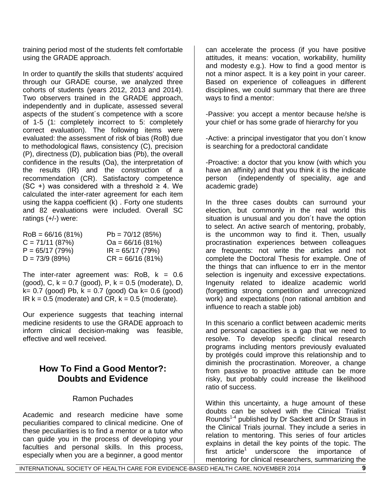training period most of the students felt comfortable using the GRADE approach.

In order to quantify the skills that students' acquired through our GRADE course, we analyzed three cohorts of students (years 2012, 2013 and 2014). Two observers trained in the GRADE approach, independently and in duplicate, assessed several aspects of the student´s competence with a score of 1-5 (1: completely incorrect to 5: completely correct evaluation). The following items were evaluated: the assessment of risk of bias (RoB) due to methodological flaws, consistency (C), precision (P), directness (D), publication bias (Pb), the overall confidence in the results (Oa), the interpretation of the results (IR) and the construction of a recommendation (CR). Satisfactory competence (SC +) was considered with a threshold  $\geq$  4. We calculated the inter-rater agreement for each item using the kappa coefficient (k) . Forty one students and 82 evaluations were included. Overall SC ratings (+/-) were:

| $RoB = 66/16 (81%)$ | $Pb = 70/12(85%)$  |
|---------------------|--------------------|
| $C = 71/11(87%)$    | $Oa = 66/16 (81%)$ |
| $P = 65/17(79%)$    | $IR = 65/17 (79%)$ |
| $D = 73/9 (89%)$    | $CR = 66/16 (81%)$ |

The inter-rater agreement was:  $RoB$ ,  $k = 0.6$ (good), C,  $k = 0.7$  (good), P,  $k = 0.5$  (moderate), D,  $k= 0.7$  (good) Pb,  $k = 0.7$  (good) Oa  $k= 0.6$  (good)  $IR k = 0.5$  (moderate) and CR,  $k = 0.5$  (moderate).

Our experience suggests that teaching internal medicine residents to use the GRADE approach to inform clinical decision-making was feasible, effective and well received.

# **How To Find a Good Mentor?: Doubts and Evidence**

# Ramon Puchades

Academic and research medicine have some peculiarities compared to clinical medicine. One of these peculiarities is to find a mentor or a tutor who can guide you in the process of developing your faculties and personal skills. In this process, especially when you are a beginner, a good mentor

can accelerate the process (if you have positive attitudes, it means: vocation, workability, humility and modesty e.g.). How to find a good mentor is not a minor aspect. It is a key point in your career. Based on experience of colleagues in different disciplines, we could summary that there are three ways to find a mentor:

-Passive: you accept a mentor because he/she is your chief or has some grade of hierarchy for you

-Active: a principal investigator that you don´t know is searching for a predoctoral candidate

-Proactive: a doctor that you know (with which you have an affinity) and that you think it is the indicate person (independently of speciality, age and academic grade)

In the three cases doubts can surround your election, but commonly in the real world this situation is unusual and you don´t have the option to select. An active search of mentoring, probably, is the uncommon way to find it. Then, usually procrastination experiences between colleagues are frequents: not write the articles and not complete the Doctoral Thesis for example. One of the things that can influence to err in the mentor selection is ingenuity and excessive expectations. Ingenuity related to idealize academic world (forgetting strong competition and unrecognized work) and expectations (non rational ambition and influence to reach a stable job)

In this scenario a conflict between academic merits and personal capacities is a gap that we need to resolve. To develop specific clinical research programs including mentors previously evaluated by protégés could improve this relationship and to diminish the procrastination. Moreover, a change from passive to proactive attitude can be more risky, but probably could increase the likelihood ratio of success.

Within this uncertainty, a huge amount of these doubts can be solved with the Clinical Trialist Rounds<sup>1-4</sup> published by Dr Sackett and Dr Straus in the Clinical Trials journal. They include a series in relation to mentoring. This series of four articles explains in detail the key points of the topic. The first article<sup>1</sup> underscore the importance of mentoring for clinical researchers, summarizing the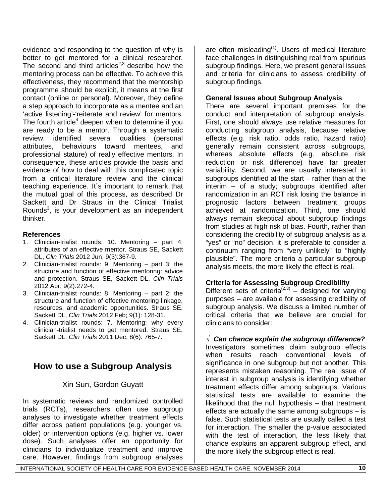evidence and responding to the question of why is better to get mentored for a clinical researcher. The second and third articles<sup>2,3</sup> describe how the mentoring process can be effective. To achieve this effectiveness, they recommend that the mentorship programme should be explicit, it means at the first contact (online or personal). Moreover, they define a step approach to incorporate as a mentee and an 'active listening'-'reiterate and review' for mentors. The fourth article<sup>4</sup> deepen when to determine if you are ready to be a mentor. Through a systematic review, identified several qualities (personal attributes, behaviours toward mentees, and professional stature) of really effective mentors. In consequence, these articles provide the basis and evidence of how to deal with this complicated topic from a critical literature review and the clinical teaching experience. It´s important to remark that the mutual goal of this process, as described Dr Sackett and Dr Straus in the Clinical Trialist Rounds<sup>3</sup>, is your development as an independent thinker.

### **References**

- 1. Clinician-trialist rounds: 10. Mentoring part 4: attributes of an effective mentor. Straus SE, Sackett DL, *Clin Trials* 2012 Jun; 9(3):367-9.
- 2. Clinician-trialist rounds: 9. Mentoring part 3: the structure and function of effective mentoring: advice and protection. Straus SE, Sackett DL. *Clin Trials* 2012 Apr; 9(2):272-4.
- 3. Clinician-trialist rounds: 8. Mentoring part 2: the structure and function of effective mentoring linkage, resources, and academic opportunities. Straus SE, Sackett DL, *Clin Trials* 2012 Feb; 9(1): 128-31.
- 4. Clinician-trialist rounds: 7. Mentoring: why every clinician-trialist needs to get mentored. Straus SE, Sackett DL. *Clin Trials* 2011 Dec; 8(6): 765-7.

# **How to use a Subgroup Analysis**

# Xin Sun, Gordon Guyatt

In systematic reviews and randomized controlled trials (RCTs), researchers often use subgroup analyses to investigate whether treatment effects differ across patient populations (e.g. younger vs. older) or intervention options (e.g. higher vs. lower dose). Such analyses offer an opportunity for clinicians to individualize treatment and improve care. However, findings from subgroup analyses

are often misleading $<sup>(1)</sup>$ . Users of medical literature</sup> face challenges in distinguishing real from spurious subgroup findings. Here, we present general issues and criteria for clinicians to assess credibility of subgroup findings.

### **General Issues about Subgroup Analysis**

There are several important premises for the conduct and interpretation of subgroup analysis. First, one should always use relative measures for conducting subgroup analysis, because relative effects (e.g. risk ratio, odds ratio, hazard ratio) generally remain consistent across subgroups, whereas absolute effects (e.g. absolute risk reduction or risk difference) have far greater variability. Second, we are usually interested in subgroups identified at the start – rather than at the interim – of a study; subgroups identified after randomization in an RCT risk losing the balance in prognostic factors between treatment groups achieved at randomization. Third, one should always remain skeptical about subgroup findings from studies at high risk of bias. Fourth, rather than considering the credibility of subgroup analysis as a "yes" or "no" decision, it is preferable to consider a continuum ranging from "very unlikely" to "highly plausible". The more criteria a particular subgroup analysis meets, the more likely the effect is real.

### **Criteria for Assessing Subgroup Credibility**

Different sets of criteria<sup>(2,3)</sup> – designed for varying purposes – are available for assessing credibility of subgroup analysis. We discuss a limited number of critical criteria that we believe are crucial for clinicians to consider:

√ *Can chance explain the subgroup difference?* Investigators sometimes claim subgroup effects when results reach conventional levels of significance in one subgroup but not another. This represents mistaken reasoning. The real issue of interest in subgroup analysis is identifying whether treatment effects differ among subgroups. Various statistical tests are available to examine the likelihood that the null hypothesis – that treatment effects are actually the same among subgroups – is false. Such statistical tests are usually called a test for interaction. The smaller the p-value associated with the test of interaction, the less likely that chance explains an apparent subgroup effect, and the more likely the subgroup effect is real.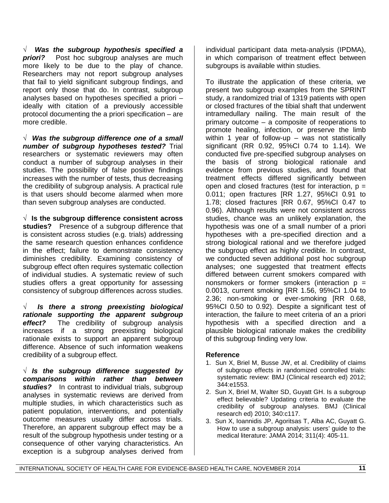√ *Was the subgroup hypothesis specified a*  **priori?** Post hoc subgroup analyses are much more likely to be due to the play of chance. Researchers may not report subgroup analyses that fail to yield significant subgroup findings, and report only those that do. In contrast, subgroup analyses based on hypotheses specified a priori – ideally with citation of a previously accessible protocol documenting the a priori specification – are more credible.

√ *Was the subgroup difference one of a small number of subgroup hypotheses tested?* Trial researchers or systematic reviewers may often conduct a number of subgroup analyses in their studies. The possibility of false positive findings increases with the number of tests, thus decreasing the credibility of subgroup analysis. A practical rule is that users should become alarmed when more than seven subgroup analyses are conducted.

√ **Is the subgroup difference consistent across studies?** Presence of a subgroup difference that is consistent across studies (e.g. trials) addressing the same research question enhances confidence in the effect; failure to demonstrate consistency diminishes credibility. Examining consistency of subgroup effect often requires systematic collection of individual studies. A systematic review of such studies offers a great opportunity for assessing consistency of subgroup differences across studies.

√ *Is there a strong preexisting biological rationale supporting the apparent subgroup effect?* The credibility of subgroup analysis increases if a strong preexisting biological rationale exists to support an apparent subgroup difference. Absence of such information weakens credibility of a subgroup effect.

√ *Is the subgroup difference suggested by comparisons within rather than between*  studies? In contrast to individual trials, subgroup analyses in systematic reviews are derived from multiple studies, in which characteristics such as patient population, interventions, and potentially outcome measures usually differ across trials. Therefore, an apparent subgroup effect may be a result of the subgroup hypothesis under testing or a consequence of other varying characteristics. An exception is a subgroup analyses derived from

individual participant data meta-analysis (IPDMA), in which comparison of treatment effect between subgroups is available within studies.

To illustrate the application of these criteria, we present two subgroup examples from the SPRINT study, a randomized trial of 1319 patients with open or closed fractures of the tibial shaft that underwent intramedullary nailing. The main result of the primary outcome – a composite of reoperations to promote healing, infection, or preserve the limb within 1 year of follow-up – was not statistically significant (RR 0.92, 95%CI 0.74 to 1.14). We conducted five pre-specified subgroup analyses on the basis of strong biological rationale and evidence from previous studies, and found that treatment effects differed significantly between open and closed fractures (test for interaction,  $p =$ 0.011; open fractures [RR 1.27, 95%CI 0.91 to 1.78; closed fractures [RR 0.67, 95%CI 0.47 to 0.96). Although results were not consistent across studies, chance was an unlikely explanation, the hypothesis was one of a small number of a priori hypotheses with a pre-specified direction and a strong biological rational and we therefore judged the subgroup effect as highly credible. In contrast, we conducted seven additional post hoc subgroup analyses; one suggested that treatment effects differed between current smokers compared with nonsmokers or former smokers (interaction  $p =$ 0.0013, current smoking [RR 1.56, 95%CI 1.04 to 2.36; non-smoking or ever-smoking [RR 0.68, 95%CI 0.50 to 0.92). Despite a significant test of interaction, the failure to meet criteria of an a priori hypothesis with a specified direction and a plausible biological rationale makes the credibility of this subgroup finding very low.

### **Reference**

- 1. Sun X, Briel M, Busse JW, et al. Credibility of claims of subgroup effects in randomized controlled trials: systematic review: BMJ (Clinical research ed) 2012; 344:e1553.
- 2. Sun X, Briel M, Walter SD, Guyatt GH. Is a subgroup effect believable? Updating criteria to evaluate the credibility of subgroup analyses. BMJ (Clinical research ed) 2010; 340:c117.
- 3. Sun X, Ioannidis JP, Agoritsas T, Alba AC, Guyatt G. How to use a subgroup analysis: users' guide to the medical literature: JAMA 2014; 311(4): 405-11.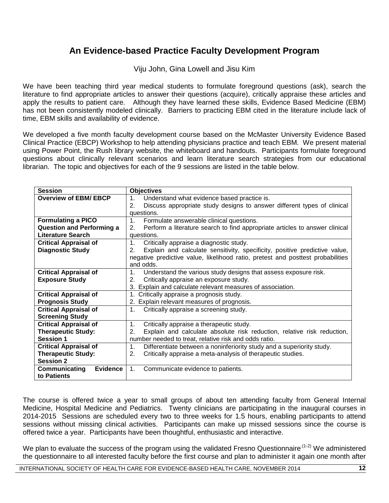# **An Evidence-based Practice Faculty Development Program**

Viju John, Gina Lowell and Jisu Kim

We have been teaching third year medical students to formulate foreground questions (ask), search the literature to find appropriate articles to answer their questions (acquire), critically appraise these articles and apply the results to patient care. Although they have learned these skills, Evidence Based Medicine (EBM) has not been consistently modeled clinically. Barriers to practicing EBM cited in the literature include lack of time, EBM skills and availability of evidence.

We developed a five month faculty development course based on the McMaster University Evidence Based Clinical Practice (EBCP) Workshop to help attending physicians practice and teach EBM. We present material using Power Point, the Rush library website, the whiteboard and handouts. Participants formulate foreground questions about clinically relevant scenarios and learn literature search strategies from our educational librarian. The topic and objectives for each of the 9 sessions are listed in the table below.

| <b>Session</b>                   | <b>Objectives</b>                                                                       |
|----------------------------------|-----------------------------------------------------------------------------------------|
| <b>Overview of EBM/ EBCP</b>     | Understand what evidence based practice is.<br>$1_{\cdot}$                              |
|                                  | Discuss appropriate study designs to answer different types of clinical<br>2.           |
|                                  | questions.                                                                              |
| <b>Formulating a PICO</b>        | $1_{\cdot}$<br>Formulate answerable clinical questions.                                 |
| <b>Question and Performing a</b> | Perform a literature search to find appropriate articles to answer clinical<br>2.       |
| Literature Search                | questions.                                                                              |
| <b>Critical Appraisal of</b>     | Critically appraise a diagnostic study.<br>$1_{\cdot}$                                  |
| <b>Diagnostic Study</b>          | Explain and calculate sensitivity, specificity, positive predictive value,<br>2.        |
|                                  | negative predictive value, likelihood ratio, pretest and posttest probabilities         |
|                                  | and odds.                                                                               |
| <b>Critical Appraisal of</b>     | Understand the various study designs that assess exposure risk.<br>$1_{\cdot}$          |
| <b>Exposure Study</b>            | Critically appraise an exposure study.<br>2.                                            |
|                                  | 3. Explain and calculate relevant measures of association.                              |
| <b>Critical Appraisal of</b>     | 1. Critically appraise a prognosis study.                                               |
| <b>Prognosis Study</b>           | 2. Explain relevant measures of prognosis.                                              |
| <b>Critical Appraisal of</b>     | Critically appraise a screening study.<br>$1_{\cdot}$                                   |
| <b>Screening Study</b>           |                                                                                         |
| <b>Critical Appraisal of</b>     | Critically appraise a therapeutic study.<br>1.                                          |
| <b>Therapeutic Study:</b>        | Explain and calculate absolute risk reduction, relative risk reduction,<br>2.           |
| <b>Session 1</b>                 | number needed to treat, relative risk and odds ratio.                                   |
| <b>Critical Appraisal of</b>     | Differentiate between a noninferiority study and a superiority study.<br>1 <sub>1</sub> |
| <b>Therapeutic Study:</b>        | Critically appraise a meta-analysis of therapeutic studies.<br>2.                       |
| <b>Session 2</b>                 |                                                                                         |
| <b>Evidence</b><br>Communicating | 1 <sub>1</sub><br>Communicate evidence to patients.                                     |
| to Patients                      |                                                                                         |

The course is offered twice a year to small groups of about ten attending faculty from General Internal Medicine, Hospital Medicine and Pediatrics. Twenty clinicians are participating in the inaugural courses in 2014-2015 Sessions are scheduled every two to three weeks for 1.5 hours, enabling participants to attend sessions without missing clinical activities. Participants can make up missed sessions since the course is offered twice a year. Participants have been thoughtful, enthusiastic and interactive.

We plan to evaluate the success of the program using the validated Fresno Questionnaire<sup>.(1-2)</sup> We administered the questionnaire to all interested faculty before the first course and plan to administer it again one month after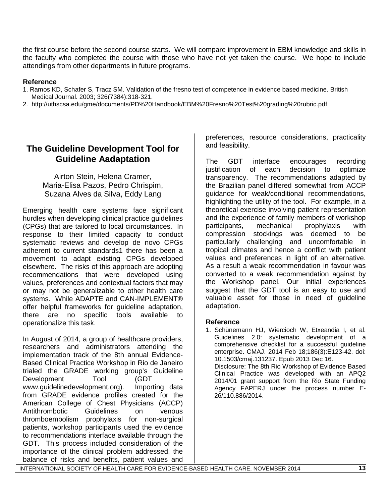the first course before the second course starts. We will compare improvement in EBM knowledge and skills in the faculty who completed the course with those who have not yet taken the course. We hope to include attendings from other departments in future programs.

### **Reference**

- 1. Ramos KD, Schafer S, Tracz SM. Validation of the fresno test of competence in evidence based medicine. British Medical Journal. 2003; 326(7384):318-321.
- 2. http://uthscsa.edu/gme/documents/PD%20Handbook/EBM%20Fresno%20Test%20grading%20rubric.pdf

# **The Guideline Development Tool for Guideline Aadaptation**

Airton Stein, Helena Cramer, Maria-Elisa Pazos, Pedro Chrispim, Suzana Alves da Silva, Eddy Lang

Emerging health care systems face significant hurdles when developing clinical practice guidelines (CPGs) that are tailored to local circumstances. In response to their limited capacity to conduct systematic reviews and develop de novo CPGs adherent to current standards1 there has been a movement to adapt existing CPGs developed elsewhere. The risks of this approach are adopting recommendations that were developed using values, preferences and contextual factors that may or may not be generalizable to other health care systems. While ADAPTE and CAN-IMPLEMENT® offer helpful frameworks for guideline adaptation, there are no specific tools available to operationalize this task.

In August of 2014, a group of healthcare providers, researchers and administrators attending the implementation track of the 8th annual Evidence-Based Clinical Practice Workshop in Rio de Janeiro trialed the GRADE working group's Guideline Development Tool (GDT) www.guidelinedevelopment.org). Importing data from GRADE evidence profiles created for the American College of Chest Physicians (ACCP) Antithrombotic Guidelines on venous thromboembolism prophylaxis for non-surgical patients, workshop participants used the evidence to recommendations interface available through the GDT. This process included consideration of the importance of the clinical problem addressed, the balance of risks and benefits, patient values and

preferences, resource considerations, practicality and feasibility.

The GDT interface encourages recording justification of each decision to optimize transparency. The recommendations adapted by the Brazilian panel differed somewhat from ACCP guidance for weak/conditional recommendations, highlighting the utility of the tool. For example, in a theoretical exercise involving patient representation and the experience of family members of workshop participants, mechanical prophylaxis with compression stockings was deemed to be particularly challenging and uncomfortable in tropical climates and hence a conflict with patient values and preferences in light of an alternative. As a result a weak recommendation in favour was converted to a weak recommendation against by the Workshop panel. Our initial experiences suggest that the GDT tool is an easy to use and valuable asset for those in need of guideline adaptation.

### **Reference**

1. Schünemann HJ, Wiercioch W, Etxeandia I, et al. Guidelines 2.0: systematic development of a comprehensive checklist for a successful guideline enterprise. CMAJ. 2014 Feb 18;186(3):E123-42. doi: 10.1503/cmaj.131237. Epub 2013 Dec 16. Disclosure: The 8th Rio Workshop of Evidence Based Clinical Practice was developed with an APQ2 2014/01 grant support from the Rio State Funding Agency FAPERJ under the process number E-26/110.886/2014.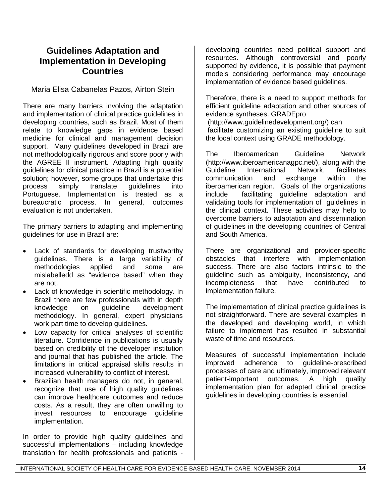# **Guidelines Adaptation and Implementation in Developing Countries**

Maria Elisa Cabanelas Pazos, Airton Stein

There are many barriers involving the adaptation and implementation of clinical practice guidelines in developing countries, such as Brazil. Most of them relate to knowledge gaps in evidence based medicine for clinical and management decision support. Many guidelines developed in Brazil are not methodologically rigorous and score poorly with the AGREE II instrument. Adapting high quality guidelines for clinical practice in Brazil is a potential solution; however, some groups that undertake this process simply translate guidelines into Portuguese. Implementation is treated as a bureaucratic process. In general, outcomes evaluation is not undertaken.

The primary barriers to adapting and implementing guidelines for use in Brazil are:

- Lack of standards for developing trustworthy guidelines. There is a large variability of methodologies applied and some are mislabelledd as "evidence based" when they are not.
- Lack of knowledge in scientific methodology. In Brazil there are few professionals with in depth knowledge on guideline development methodology. In general, expert physicians work part time to develop guidelines.
- Low capacity for critical analyses of scientific literature. Confidence in publications is usually based on credibility of the developer institution and journal that has published the article. The limitations in critical appraisal skills results in increased vulnerability to conflict of interest.
- Brazilian health managers do not, in general, recognize that use of high quality guidelines can improve healthcare outcomes and reduce costs. As a result, they are often unwilling to invest resources to encourage guideline implementation.

In order to provide high quality guidelines and successful implementations – including knowledge translation for health professionals and patients -

developing countries need political support and resources. Although controversial and poorly supported by evidence, it is possible that payment models considering performance may encourage implementation of evidence based guidelines.

Therefore, there is a need to support methods for efficient guideline adaptation and other sources of evidence syntheses. GRADEpro

(http://www.guidelinedevelopment.org/) can facilitate customizing an existing guideline to suit the local context using GRADE methodology.

The Iberoamerican Guideline Network (http://www.iberoamericanagpc.net/), along with the Guideline International Network, facilitates<br>communication and exchange within the communication and exchange within the iberoamerican region. Goals of the organizations include facilitating guideline adaptation and validating tools for implementation of guidelines in the clinical context. These activities may help to overcome barriers to adaptation and dissemination of guidelines in the developing countries of Central and South America.

There are organizational and provider-specific obstacles that interfere with implementation success. There are also factors intrinsic to the guideline such as ambiguity, inconsistency, and<br>incompleteness that have contributed to incompleteness that have contributed to implementation failure.

The implementation of clinical practice guidelines is not straightforward. There are several examples in the developed and developing world, in which failure to implement has resulted in substantial waste of time and resources.

Measures of successful implementation include improved adherence to guideline-prescribed processes of care and ultimately, improved relevant patient-important outcomes. A high quality implementation plan for adapted clinical practice guidelines in developing countries is essential.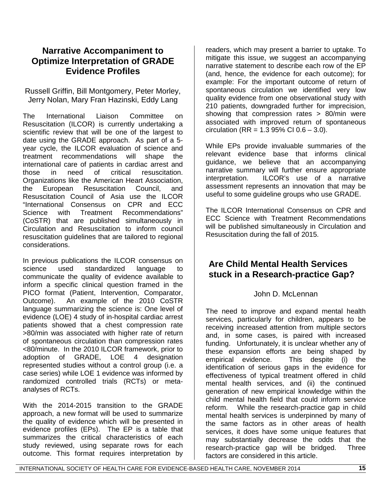# **Narrative Accompaniment to Optimize Interpretation of GRADE Evidence Profiles**

Russell Griffin, Bill Montgomery, Peter Morley, Jerry Nolan, Mary Fran Hazinski, Eddy Lang

The International Liaison Committee on Resuscitation (ILCOR) is currently undertaking a scientific review that will be one of the largest to date using the GRADE approach. As part of a 5 year cycle, the ILCOR evaluation of science and treatment recommendations will shape the international care of patients in cardiac arrest and those in need of critical resuscitation. Organizations like the American Heart Association, the European Resuscitation Council, and Resuscitation Council of Asia use the ILCOR "International Consensus on CPR and ECC Science with Treatment Recommendations" (CoSTR) that are published simultaneously in Circulation and Resuscitation to inform council resuscitation guidelines that are tailored to regional considerations.

In previous publications the ILCOR consensus on science used standardized language to communicate the quality of evidence available to inform a specific clinical question framed in the PICO format (Patient, Intervention, Comparator, Outcome). An example of the 2010 CoSTR language summarizing the science is: One level of evidence (LOE) 4 study of in-hospital cardiac arrest patients showed that a chest compression rate >80/min was associated with higher rate of return of spontaneous circulation than compression rates <80/minute. In the 2010 ILCOR framework, prior to adoption of GRADE, LOE 4 designation represented studies without a control group (i.e. a case series) while LOE 1 evidence was informed by randomized controlled trials (RCTs) or metaanalyses of RCTs.

With the 2014-2015 transition to the GRADE approach, a new format will be used to summarize the quality of evidence which will be presented in evidence profiles (EPs). The EP is a table that summarizes the critical characteristics of each study reviewed, using separate rows for each outcome. This format requires interpretation by

readers, which may present a barrier to uptake. To mitigate this issue, we suggest an accompanying narrative statement to describe each row of the EP (and, hence, the evidence for each outcome); for example: For the important outcome of return of spontaneous circulation we identified very low quality evidence from one observational study with 210 patients, downgraded further for imprecision, showing that compression rates > 80/min were associated with improved return of spontaneous circulation (RR =  $1.395\%$  CI  $0.6 - 3.0$ ).

While EPs provide invaluable summaries of the relevant evidence base that informs clinical guidance, we believe that an accompanying narrative summary will further ensure appropriate interpretation. ILCOR's use of a narrative assessment represents an innovation that may be useful to some guideline groups who use GRADE.

The ILCOR International Consensus on CPR and ECC Science with Treatment Recommendations will be published simultaneously in Circulation and Resuscitation during the fall of 2015.

# **Are Child Mental Health Services stuck in a Research-practice Gap?**

# John D. McLennan

The need to improve and expand mental health services, particularly for children, appears to be receiving increased attention from multiple sectors and, in some cases, is paired with increased funding. Unfortunately, it is unclear whether any of these expansion efforts are being shaped by empirical evidence. This despite (i) the identification of serious gaps in the evidence for effectiveness of typical treatment offered in child mental health services, and (ii) the continued generation of new empirical knowledge within the child mental health field that could inform service reform. While the research-practice gap in child mental health services is underpinned by many of the same factors as in other areas of health services, it does have some unique features that may substantially decrease the odds that the research-practice gap will be bridged. Three factors are considered in this article.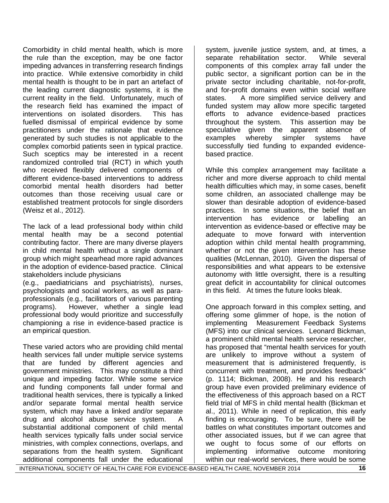Comorbidity in child mental health, which is more the rule than the exception, may be one factor impeding advances in transferring research findings into practice. While extensive comorbidity in child mental health is thought to be in part an artefact of the leading current diagnostic systems, it is the current reality in the field. Unfortunately, much of the research field has examined the impact of interventions on isolated disorders. This has fuelled dismissal of empirical evidence by some practitioners under the rationale that evidence generated by such studies is not applicable to the complex comorbid patients seen in typical practice. Such sceptics may be interested in a recent randomized controlled trial (RCT) in which youth who received flexibly delivered components of different evidence-based interventions to address comorbid mental health disorders had better outcomes than those receiving usual care or established treatment protocols for single disorders (Weisz et al., 2012).

The lack of a lead professional body within child mental health may be a second potential contributing factor. There are many diverse players in child mental health without a single dominant group which might spearhead more rapid advances in the adoption of evidence-based practice. Clinical stakeholders include physicians

(e.g., paediatricians and psychiatrists), nurses, psychologists and social workers, as well as paraprofessionals (e.g., facilitators of various parenting programs). However, whether a single lead professional body would prioritize and successfully championing a rise in evidence-based practice is an empirical question.

These varied actors who are providing child mental health services fall under multiple service systems that are funded by different agencies and government ministries. This may constitute a third unique and impeding factor. While some service and funding components fall under formal and traditional health services, there is typically a linked and/or separate formal mental health service system, which may have a linked and/or separate drug and alcohol abuse service system. A substantial additional component of child mental health services typically falls under social service ministries, with complex connections, overlaps, and separations from the health system. Significant additional components fall under the educational

system, juvenile justice system, and, at times, a<br>separate rehabilitation sector. While several separate rehabilitation sector. components of this complex array fall under the public sector, a significant portion can be in the private sector including charitable, not-for-profit, and for-profit domains even within social welfare states. A more simplified service delivery and funded system may allow more specific targeted efforts to advance evidence-based practices throughout the system. This assertion may be speculative given the apparent absence of examples whereby simpler systems have successfully tied funding to expanded evidencebased practice.

While this complex arrangement may facilitate a richer and more diverse approach to child mental health difficulties which may, in some cases, benefit some children, an associated challenge may be slower than desirable adoption of evidence-based practices. In some situations, the belief that an intervention has evidence or labelling an intervention as evidence-based or effective may be adequate to move forward with intervention adoption within child mental health programming, whether or not the given intervention has these qualities (McLennan, 2010). Given the dispersal of responsibilities and what appears to be extensive autonomy with little oversight, there is a resulting great deficit in accountability for clinical outcomes in this field. At times the future looks bleak.

One approach forward in this complex setting, and offering some glimmer of hope, is the notion of implementing Measurement Feedback Systems (MFS) into our clinical services. Leonard Bickman, a prominent child mental health service researcher, has proposed that "mental health services for youth are unlikely to improve without a system of measurement that is administered frequently, is concurrent with treatment, and provides feedback" (p. 1114; Bickman, 2008). He and his research group have even provided preliminary evidence of the effectiveness of this approach based on a RCT field trial of MFS in child mental health (Bickman et al., 2011). While in need of replication, this early finding is encouraging. To be sure, there will be battles on what constitutes important outcomes and other associated issues, but if we can agree that we ought to focus some of our efforts on implementing informative outcome monitoring within our real-world services, there would be some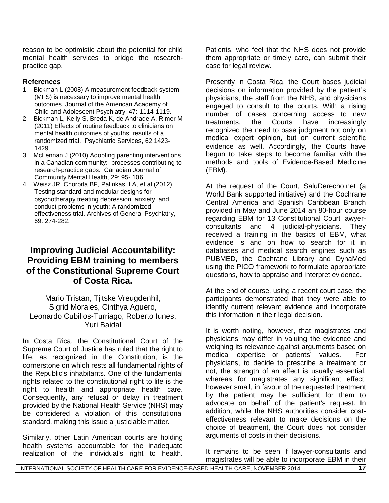reason to be optimistic about the potential for child mental health services to bridge the researchpractice gap.

## **References**

- 1. Bickman L (2008) A measurement feedback system (MFS) is necessary to improve mental health outcomes. Journal of the American Academy of Child and Adolescent Psychiatry, 47: 1114-1119.
- 2. Bickman L, Kelly S, Breda K, de Andrade A, Rimer M (2011) Effects of routine feedback to clinicians on mental health outcomes of youths: results of a randomized trial. Psychiatric Services, 62:1423- 1429.
- 3. McLennan J (2010) Adopting parenting interventions in a Canadian community: processes contributing to research-practice gaps. Canadian Journal of Community Mental Health, 29: 95- 106
- 4. Weisz JR, Chorpita BF, Palinkas, LA, et al (2012) Testing standard and modular designs for psychotherapy treating depression, anxiety, and conduct problems in youth: A randomized effectiveness trial. Archives of General Psychiatry, 69: 274-282.

# **Improving Judicial Accountability: Providing EBM training to members of the Constitutional Supreme Court of Costa Rica.**

Mario Tristan, Tjitske Vreugdenhil, Sigrid Morales, Cinthya Aguero, Leonardo Cubillos-Turriago, Roberto Iunes, Yuri Baidal

In Costa Rica, the Constitutional Court of the Supreme Court of Justice has ruled that the right to life, as recognized in the Constitution, is the cornerstone on which rests all fundamental rights of the Republic's inhabitants. One of the fundamental rights related to the constitutional right to life is the right to health and appropriate health care. Consequently, any refusal or delay in treatment provided by the National Health Service (NHS) may be considered a violation of this constitutional standard, making this issue a justiciable matter.

Similarly, other Latin American courts are holding health systems accountable for the inadequate realization of the individual's right to health.

Patients, who feel that the NHS does not provide them appropriate or timely care, can submit their case for legal review.

Presently in Costa Rica, the Court bases judicial decisions on information provided by the patient's physicians, the staff from the NHS, and physicians engaged to consult to the courts. With a rising number of cases concerning access to new treatments, the Courts have increasingly recognized the need to base judgment not only on medical expert opinion, but on current scientific evidence as well. Accordingly, the Courts have begun to take steps to become familiar with the methods and tools of Evidence-Based Medicine (EBM).

At the request of the Court, SaluDerecho.net (a World Bank supported initiative) and the Cochrane Central America and Spanish Caribbean Branch provided in May and June 2014 an 80-hour course regarding EBM for 13 Constitutional Court lawyerconsultants and 4 judicial-physicians. They received a training in the basics of EBM, what evidence is and on how to search for it in databases and medical search engines such as PUBMED, the Cochrane Library and DynaMed using the PICO framework to formulate appropriate questions, how to appraise and interpret evidence.

At the end of course, using a recent court case, the participants demonstrated that they were able to identify current relevant evidence and incorporate this information in their legal decision.

It is worth noting, however, that magistrates and physicians may differ in valuing the evidence and weighing its relevance against arguments based on medical expertise or patients´ values. For physicians, to decide to prescribe a treatment or not, the strength of an effect is usually essential, whereas for magistrates any significant effect, however small, in favour of the requested treatment by the patient may be sufficient for them to advocate on behalf of the patient's request. In addition, while the NHS authorities consider costeffectiveness relevant to make decisions on the choice of treatment, the Court does not consider arguments of costs in their decisions.

It remains to be seen if lawyer-consultants and magistrates will be able to incorporate EBM in their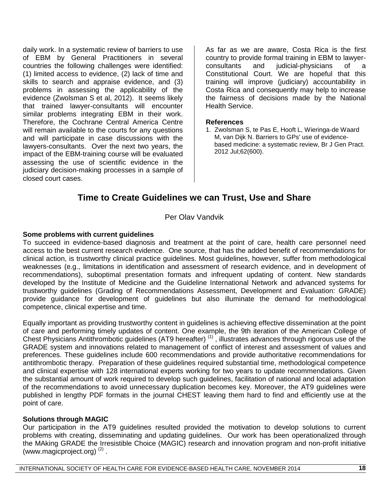daily work. In a systematic review of barriers to use of EBM by General Practitioners in several countries the following challenges were identified: (1) limited access to evidence, (2) lack of time and skills to search and appraise evidence, and (3) problems in assessing the applicability of the evidence (Zwolsman S et al, 2012). It seems likely that trained lawyer-consultants will encounter similar problems integrating EBM in their work. Therefore, the Cochrane Central America Centre will remain available to the courts for any questions and will participate in case discussions with the lawyers-consultants. Over the next two years, the impact of the EBM-training course will be evaluated assessing the use of scientific evidence in the judiciary decision-making processes in a sample of closed court cases.

As far as we are aware, Costa Rica is the first country to provide formal training in EBM to lawyerconsultants and judicial-physicians of a Constitutional Court. We are hopeful that this training will improve (judiciary) accountability in Costa Rica and consequently may help to increase the fairness of decisions made by the National Health Service.

### **References**

1. Zwolsman S, te Pas E, Hooft L, Wieringa-de Waard M, van Dijk N. Barriers to GPs' use of evidencebased medicine: a systematic review, Br J Gen Pract. 2012 Jul;62(600).

# **Time to Create Guidelines we can Trust, Use and Share**

## Per Olav Vandvik

### **Some problems with current guidelines**

To succeed in evidence-based diagnosis and treatment at the point of care, health care personnel need access to the best current research evidence. One source, that has the added benefit of recommendations for clinical action, is trustworthy clinical practice guidelines. Most guidelines, however, suffer from methodological weaknesses (e.g., limitations in identification and assessment of research evidence, and in development of recommendations), suboptimal presentation formats and infrequent updating of content. New standards developed by the Institute of Medicine and the Guideline International Network and advanced systems for trustworthy guidelines (Grading of Recommendations Assessment, Development and Evaluation: GRADE) provide guidance for development of guidelines but also illuminate the demand for methodological competence, clinical expertise and time.

Equally important as providing trustworthy content in guidelines is achieving effective dissemination at the point of care and performing timely updates of content. One example, the 9th iteration of the American College of Chest Physicians Antithrombotic guidelines (AT9 hereafter)<sup>(1)</sup>, illustrates advances through rigorous use of the GRADE system and innovations related to management of conflict of interest and assessment of values and preferences. These guidelines include 600 recommendations and provide authoritative recommendations for antithrombotic therapy. Preparation of these guidelines required substantial time, methodological competence and clinical expertise with 128 international experts working for two years to update recommendations. Given the substantial amount of work required to develop such guidelines, facilitation of national and local adaptation of the recommendations to avoid unnecessary duplication becomes key. Moreover, the AT9 guidelines were published in lengthy PDF formats in the journal CHEST leaving them hard to find and efficiently use at the point of care.

### **Solutions through MAGIC**

Our participation in the AT9 guidelines resulted provided the motivation to develop solutions to current problems with creating, disseminating and updating guidelines. Our work has been operationalized through the MAking GRADE the Irresistible Choice (MAGIC) research and innovation program and non-profit initiative (www.magicproject.org) (2) .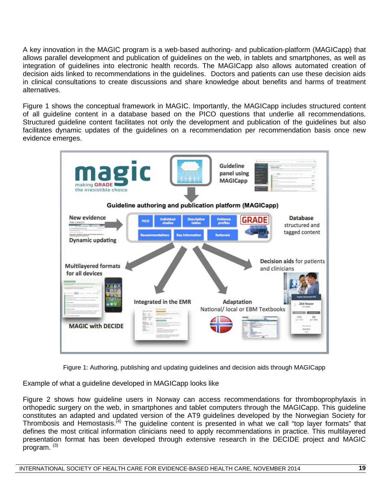A key innovation in the MAGIC program is a web-based authoring- and publication-platform (MAGICapp) that allows parallel development and publication of guidelines on the web, in tablets and smartphones, as well as integration of guidelines into electronic health records. The MAGICapp also allows automated creation of decision aids linked to recommendations in the guidelines. Doctors and patients can use these decision aids in clinical consultations to create discussions and share knowledge about benefits and harms of treatment alternatives.

Figure 1 shows the conceptual framework in MAGIC. Importantly, the MAGICapp includes structured content of all guideline content in a database based on the PICO questions that underlie all recommendations. Structured guideline content facilitates not only the development and publication of the guidelines but also facilitates dynamic updates of the guidelines on a recommendation per recommendation basis once new evidence emerges.



Figure 1: Authoring, publishing and updating guidelines and decision aids through MAGICapp

Example of what a guideline developed in MAGICapp looks like

Figure 2 shows how guideline users in Norway can access recommendations for thromboprophylaxis in orthopedic surgery on the web, in smartphones and tablet computers through the MAGICapp. This guideline constitutes an adapted and updated version of the AT9 guidelines developed by the Norwegian Society for Thrombosis and Hemostasis.<sup>(4)</sup> The guideline content is presented in what we call "top layer formats" that defines the most critical information clinicians need to apply recommendations in practice. This multilayered presentation format has been developed through extensive research in the DECIDE project and MAGIC program. (3)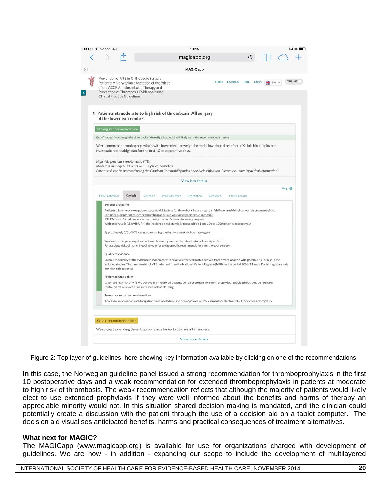|                       |  |                           |  |                                     |                                                                                                                                                                                 |                  |  | magicapp.org                                                                                                                                                        |                                                                                                                                                                                                                                                                                                     |                |      |                          |                   |        |
|-----------------------|--|---------------------------|--|-------------------------------------|---------------------------------------------------------------------------------------------------------------------------------------------------------------------------------|------------------|--|---------------------------------------------------------------------------------------------------------------------------------------------------------------------|-----------------------------------------------------------------------------------------------------------------------------------------------------------------------------------------------------------------------------------------------------------------------------------------------------|----------------|------|--------------------------|-------------------|--------|
|                       |  |                           |  |                                     |                                                                                                                                                                                 |                  |  | <b>MAGICapp</b>                                                                                                                                                     |                                                                                                                                                                                                                                                                                                     |                |      |                          |                   |        |
|                       |  |                           |  | <b>Clinical Practice Guidelines</b> | Prevention of VTE in Orthopedic Surgery<br>Patients: A Norwegian adaptation of the 9th ed.<br>of the ACCP Antithrombotic Therapy and<br>Prevention of Thrombosis Evidence-based |                  |  |                                                                                                                                                                     | Home                                                                                                                                                                                                                                                                                                | Feedback       | Help | Log in<br><b>BH</b> EN - |                   | ONLINE |
|                       |  |                           |  | of the lower extremities            |                                                                                                                                                                                 |                  |  | 2 Patients at moderate to high risk of thrombosis: All surgery                                                                                                      |                                                                                                                                                                                                                                                                                                     |                |      |                          |                   |        |
|                       |  |                           |  | Strong recommendation               |                                                                                                                                                                                 |                  |  |                                                                                                                                                                     |                                                                                                                                                                                                                                                                                                     |                |      |                          |                   |        |
|                       |  |                           |  |                                     |                                                                                                                                                                                 |                  |  |                                                                                                                                                                     | Benefits clearly outweigh the drawbacks. Virtually all patients will likely want the recommended strategy                                                                                                                                                                                           |                |      |                          |                   |        |
|                       |  |                           |  |                                     | rivaroxaban) or dabigatran for the first 10 postoperative days.<br>High risk: previous symptomatic VTE.<br>Moderate risk: age > 80 years or multiple comorbidities.             |                  |  |                                                                                                                                                                     | We recommend thromboprophylaxis with low molecular weight heparin, low-dose direct factor Xa inhibitor (apixaban,<br>Patient risk can be assessed using the Charlson Comorbidity index or ASA classification. Please see under "practical information".                                             |                |      |                          |                   |        |
|                       |  |                           |  |                                     |                                                                                                                                                                                 |                  |  | View less details                                                                                                                                                   |                                                                                                                                                                                                                                                                                                     |                |      |                          |                   |        |
|                       |  |                           |  |                                     |                                                                                                                                                                                 |                  |  |                                                                                                                                                                     |                                                                                                                                                                                                                                                                                                     |                |      |                          | Help <sup>O</sup> |        |
|                       |  | Effect estimates          |  | Key info                            | Rationale                                                                                                                                                                       | Practical advice |  | Adaptation                                                                                                                                                          | <b>References</b>                                                                                                                                                                                                                                                                                   | Discussion (0) |      |                          |                   |        |
|                       |  | <b>Benefits and harms</b> |  |                                     |                                                                                                                                                                                 |                  |  | For 1000 patients not receiving thromboprophylaxis we expect (worst case scenario);<br>139 DVTs and 69 pulmonary emboli during the first 5 weeks following surgery. | Patients with one or more patient-specific risk factors for thrombosis have an up to 6-fold increased risk of venous thromboembolism.<br>With prophylaxis (LMWH/UFH) the incidence is substantially reduced to 61 and 30 per 1000 patients, respectively.                                           |                |      |                          |                   |        |
|                       |  |                           |  |                                     |                                                                                                                                                                                 |                  |  | Approximately 2/3 of VTE cases occur during the first two weeks following surgery.                                                                                  | We do not anticipate any effect of thromboprophylaxis on the rate of fatal pulmonary emboli.                                                                                                                                                                                                        |                |      |                          |                   |        |
|                       |  |                           |  |                                     |                                                                                                                                                                                 |                  |  |                                                                                                                                                                     | For absolute risks of major bleeding we refer to the specific recommendations for the each surgery.                                                                                                                                                                                                 |                |      |                          |                   |        |
|                       |  | Quality of evidence       |  | (for high-risk patients).           |                                                                                                                                                                                 |                  |  |                                                                                                                                                                     | Overall the quality of the evidence is moderate, with relative effect estimates derived from a meta-analysis with possible risk of bias in the<br>included studies. The baseline risk of VTE is derived from the National Patient Registry (NPR) for the period 2008-11 and a Danish registry study |                |      |                          |                   |        |
| Preference and values |  |                           |  |                                     |                                                                                                                                                                                 |                  |  |                                                                                                                                                                     |                                                                                                                                                                                                                                                                                                     |                |      |                          |                   |        |
|                       |  |                           |  |                                     | contraindications such as an increased risk of bleeding.                                                                                                                        |                  |  |                                                                                                                                                                     | Given the high risk of VTE we believe all or nearly all patients will elect to use short-term prophylaxis provided that they do not have                                                                                                                                                            |                |      |                          |                   |        |
|                       |  |                           |  |                                     | Resources and other considerations                                                                                                                                              |                  |  |                                                                                                                                                                     |                                                                                                                                                                                                                                                                                                     |                |      |                          |                   |        |
|                       |  |                           |  |                                     |                                                                                                                                                                                 |                  |  |                                                                                                                                                                     | Apixaban, rivaroxaban and dabigatran have labeled use and pre-approved reimbursement for elective total hip or knee arthroplasty.                                                                                                                                                                   |                |      |                          |                   |        |
|                       |  |                           |  | Weak recommendation                 |                                                                                                                                                                                 |                  |  |                                                                                                                                                                     |                                                                                                                                                                                                                                                                                                     |                |      |                          |                   |        |
|                       |  |                           |  |                                     |                                                                                                                                                                                 |                  |  | We suggest extending thromboprophylaxis for up to 35 days after surgery.                                                                                            |                                                                                                                                                                                                                                                                                                     |                |      |                          |                   |        |
|                       |  |                           |  |                                     |                                                                                                                                                                                 |                  |  |                                                                                                                                                                     |                                                                                                                                                                                                                                                                                                     |                |      |                          |                   |        |

Figure 2: Top layer of guidelines, here showing key information available by clicking on one of the recommendations.

In this case, the Norwegian guideline panel issued a strong recommendation for thromboprophylaxis in the first 10 postoperative days and a weak recommendation for extended thromboprophylaxis in patients at moderate to high risk of thrombosis. The weak recommendation reflects that although the majority of patients would likely elect to use extended prophylaxis if they were well informed about the benefits and harms of therapy an appreciable minority would not. In this situation shared decision making is mandated, and the clinician could potentially create a discussion with the patient through the use of a decision aid on a tablet computer. The decision aid visualises anticipated benefits, harms and practical consequences of treatment alternatives.

#### **What next for MAGIC?**

The MAGICapp (www.magicapp.org) is available for use for organizations charged with development of guidelines. We are now - in addition - expanding our scope to include the development of multilayered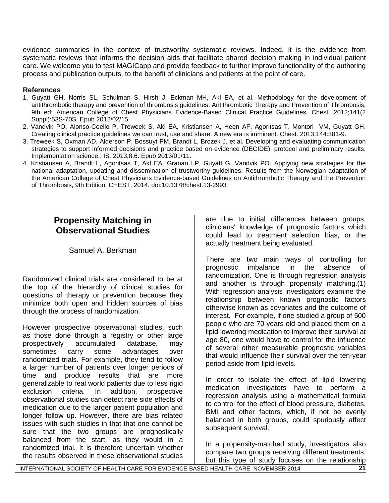evidence summaries in the context of trustworthy systematic reviews. Indeed, it is the evidence from systematic reviews that informs the decision aids that facilitate shared decision making in individual patient care. We welcome you to test MAGICapp and provide feedback to further improve functionality of the authoring process and publication outputs, to the benefit of clinicians and patients at the point of care.

## **References**

- 1. Guyatt GH, Norris SL, Schulman S, Hirsh J, Eckman MH, Akl EA, et al. Methodology for the development of antithrombotic therapy and prevention of thrombosis guidelines: Antithrombotic Therapy and Prevention of Thrombosis, 9th ed: American College of Chest Physicians Evidence-Based Clinical Practice Guidelines. Chest. 2012;141(2 Suppl):53S-70S. Epub 2012/02/15.
- 2. Vandvik PO, Alonso-Coello P, Treweek S, Akl EA, Kristiansen A, Heen AF, Agoritsas T, Montori VM, Guyatt GH. Creating clinical practice guidelines we can trust, use and share: A new era is imminent. Chest. 2013;144:381-9.
- 3. Treweek S, Oxman AD, Alderson P, Bossuyt PM, Brandt L, Brozek J, et al. Developing and evaluating communication strategies to support informed decisions and practice based on evidence (DECIDE): protocol and preliminary results. Implementation science : IS. 2013;8:6. Epub 2013/01/11.
- 4. Kristiansen A, Brandt L, Agoritsas T, Akl EA, Granan LP, Guyatt G, Vandvik PO. Applying new strategies for the national adaptation, updating and dissemination of trustworthy guidelines: Results from the Norwegian adaptation of the American College of Chest Physicians Evidence-based Guidelines on Antithrombotic Therapy and the Prevention of Thrombosis, 9th Edition. CHEST, 2014. doi:10.1378/chest.13-2993

# **Propensity Matching in Observational Studies**

Samuel A. Berkman

Randomized clinical trials are considered to be at the top of the hierarchy of clinical studies for questions of therapy or prevention because they minimize both open and hidden sources of bias through the process of randomization.

However prospective observational studies, such as those done through a registry or other large prospectively accumulated database, may sometimes carry some advantages over randomized trials. For example, they tend to follow a larger number of patients over longer periods of time and produce results that are more generalizable to real world patients due to less rigid exclusion criteria. In addition, prospective observational studies can detect rare side effects of medication due to the larger patient population and longer follow up. However, there are bias related issues with such studies in that that one cannot be sure that the two groups are prognostically balanced from the start, as they would in a randomized trial. It is therefore uncertain whether the results observed in these observational studies

are due to initial differences between groups, clinicians' knowledge of prognostic factors which could lead to treatment selection bias, or the actually treatment being evaluated.

There are two main ways of controlling for prognostic imbalance in the absence of randomization. One is through regression analysis and another is through propensity matching.(1) With regression analysis investigators examine the relationship between known prognostic factors otherwise known as covariates and the outcome of interest. For example, if one studied a group of 500 people who are 70 years old and placed them on a lipid lowering medication to improve their survival at age 80, one would have to control for the influence of several other measurable prognostic variables that would influence their survival over the ten-year period aside from lipid levels.

In order to isolate the effect of lipid lowering medication investigators have to perform a regression analysis using a mathematical formula to control for the effect of blood pressure, diabetes, BMI and other factors, which, if not be evenly balanced in both groups, could spuriously affect subsequent survival.

In a propensity-matched study, investigators also compare two groups receiving different treatments, but this type of study focuses on the relationship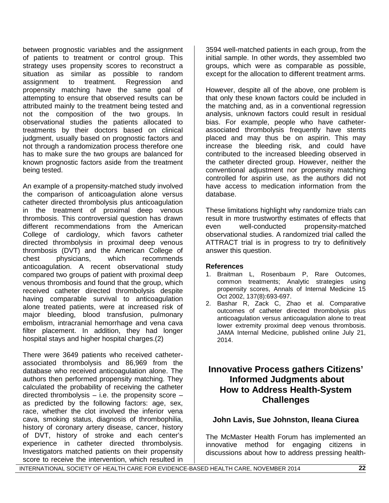between prognostic variables and the assignment of patients to treatment or control group. This strategy uses propensity scores to reconstruct a situation as similar as possible to random assignment to treatment. Regression and propensity matching have the same goal of attempting to ensure that observed results can be attributed mainly to the treatment being tested and not the composition of the two groups. In observational studies the patients allocated to treatments by their doctors based on clinical judgment, usually based on prognostic factors and not through a randomization process therefore one has to make sure the two groups are balanced for known prognostic factors aside from the treatment being tested.

An example of a propensity-matched study involved the comparison of anticoagulation alone versus catheter directed thrombolysis plus anticoagulation in the treatment of proximal deep venous thrombosis. This controversial question has drawn different recommendations from the American College of cardiology, which favors catheter directed thrombolysis in proximal deep venous thrombosis (DVT) and the American College of chest physicians, which recommends anticoagulation. A recent observational study compared two groups of patient with proximal deep venous thrombosis and found that the group, which received catheter directed thrombolysis despite having comparable survival to anticoagulation alone treated patients, were at increased risk of major bleeding, blood transfusion, pulmonary embolism, intracranial hemorrhage and vena cava filter placement. In addition, they had longer hospital stays and higher hospital charges.(2)

There were 3649 patients who received catheterassociated thrombolysis and 86,969 from the database who received anticoagulation alone. The authors then performed propensity matching. They calculated the probability of receiving the catheter directed thrombolysis  $-$  i.e. the propensity score  $$ as predicted by the following factors: age, sex, race, whether the clot involved the inferior vena cava, smoking status, diagnosis of thrombophilia, history of coronary artery disease, cancer, history of DVT, history of stroke and each center's experience in catheter directed thrombolysis. Investigators matched patients on their propensity score to receive the intervention, which resulted in

3594 well-matched patients in each group, from the initial sample. In other words, they assembled two groups, which were as comparable as possible, except for the allocation to different treatment arms.

However, despite all of the above, one problem is that only these known factors could be included in the matching and, as in a conventional regression analysis, unknown factors could result in residual bias. For example, people who have catheterassociated thrombolysis frequently have stents placed and may thus be on aspirin. This may increase the bleeding risk, and could have contributed to the increased bleeding observed in the catheter directed group. However, neither the conventional adjustment nor propensity matching controlled for aspirin use, as the authors did not have access to medication information from the database.

These limitations highlight why randomize trials can result in more trustworthy estimates of effects that even well-conducted propensity-matched observational studies. A randomized trial called the ATTRACT trial is in progress to try to definitively answer this question.

# **References**

- 1. Braitman L, Rosenbaum P, Rare Outcomes, common treatments; Analytic strategies using propensity scores, Annals of Internal Medicine 15 Oct 2002, 137(8):693-697.
- 2. Bashar R, Zack C, Zhao et al. Comparative outcomes of catheter directed thrombolysis plus anticoagulation versus anticoagulation alone to treat lower extremity proximal deep venous thrombosis. JAMA Internal Medicine, published online July 21, 2014.

# **Innovative Process gathers Citizens' Informed Judgments about How to Address Health-System Challenges**

# **John Lavis, Sue Johnston, Ileana Ciurea**

The McMaster Health Forum has implemented an innovative method for engaging citizens in discussions about how to address pressing health-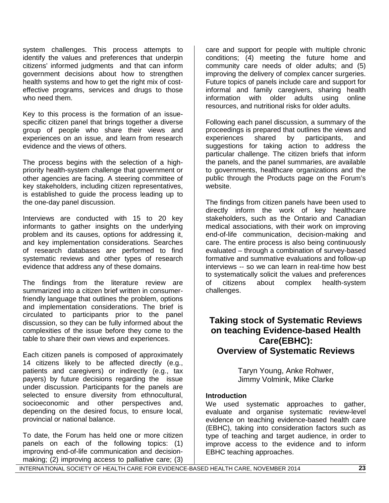system challenges. This process attempts to identify the values and preferences that underpin citizens' informed judgments and that can inform government decisions about how to strengthen health systems and how to get the right mix of costeffective programs, services and drugs to those who need them.

Key to this process is the formation of an issuespecific citizen panel that brings together a diverse group of people who share their views and experiences on an issue, and learn from research evidence and the views of others.

The process begins with the selection of a highpriority health-system challenge that government or other agencies are facing. A steering committee of key stakeholders, including citizen representatives, is established to guide the process leading up to the one-day panel discussion.

Interviews are conducted with 15 to 20 key informants to gather insights on the underlying problem and its causes, options for addressing it, and key implementation considerations. Searches of research databases are performed to find systematic reviews and other types of research evidence that address any of these domains.

The findings from the literature review are summarized into a citizen brief written in consumerfriendly language that outlines the problem, options and implementation considerations. The brief is circulated to participants prior to the panel discussion, so they can be fully informed about the complexities of the issue before they come to the table to share their own views and experiences.

Each citizen panels is composed of approximately 14 citizens likely to be affected directly (e.g., patients and caregivers) or indirectly (e.g., tax payers) by future decisions regarding the issue under discussion. Participants for the panels are selected to ensure diversity from ethnocultural, socioeconomic and other perspectives and, depending on the desired focus, to ensure local, provincial or national balance.

To date, the Forum has held one or more citizen panels on each of the following topics: (1) improving end-of-life communication and decisionmaking; (2) improving access to palliative care; (3)

care and support for people with multiple chronic conditions; (4) meeting the future home and community care needs of older adults; and (5) improving the delivery of complex cancer surgeries. Future topics of panels include care and support for informal and family caregivers, sharing health information with older adults using online resources, and nutritional risks for older adults.

Following each panel discussion, a summary of the proceedings is prepared that outlines the views and<br>experiences shared by participants. and experiences shared by participants, and suggestions for taking action to address the particular challenge. The citizen briefs that inform the panels, and the panel summaries, are available to governments, healthcare organizations and the public through the Products page on the Forum's website.

The findings from citizen panels have been used to directly inform the work of key healthcare stakeholders, such as the Ontario and Canadian medical associations, with their work on improving end-of-life communication, decision-making and care. The entire process is also being continuously evaluated – through a combination of survey-based formative and summative evaluations and follow-up interviews -- so we can learn in real-time how best to systematically solicit the values and preferences<br>of citizens about complex health-system health-system challenges.

# **Taking stock of Systematic Reviews on teaching Evidence-based Health Care(EBHC): Overview of Systematic Reviews**

Taryn Young, Anke Rohwer, Jimmy Volmink, Mike Clarke

### **Introduction**

We used systematic approaches to gather, evaluate and organise systematic review-level evidence on teaching evidence-based health care (EBHC), taking into consideration factors such as type of teaching and target audience, in order to improve access to the evidence and to inform EBHC teaching approaches.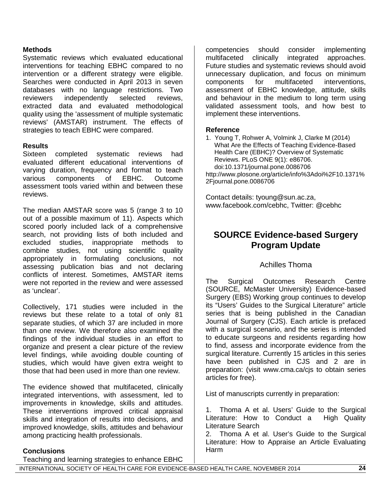### **Methods**

Systematic reviews which evaluated educational interventions for teaching EBHC compared to no intervention or a different strategy were eligible. Searches were conducted in April 2013 in seven databases with no language restrictions. Two reviewers independently selected reviews, extracted data and evaluated methodological quality using the 'assessment of multiple systematic reviews' (AMSTAR) instrument. The effects of strategies to teach EBHC were compared.

### **Results**

Sixteen completed systematic reviews had evaluated different educational interventions of varying duration, frequency and format to teach<br>various components of EBHC. Outcome various components of EBHC. Outcome assessment tools varied within and between these reviews.

The median AMSTAR score was 5 (range 3 to 10 out of a possible maximum of 11). Aspects which scored poorly included lack of a comprehensive search, not providing lists of both included and excluded studies, inappropriate methods to combine studies, not using scientific quality appropriately in formulating conclusions, not assessing publication bias and not declaring conflicts of interest. Sometimes, AMSTAR items were not reported in the review and were assessed as 'unclear'.

Collectively, 171 studies were included in the reviews but these relate to a total of only 81 separate studies, of which 37 are included in more than one review. We therefore also examined the findings of the individual studies in an effort to organize and present a clear picture of the review level findings, while avoiding double counting of studies, which would have given extra weight to those that had been used in more than one review.

The evidence showed that multifaceted, clinically integrated interventions, with assessment, led to improvements in knowledge, skills and attitudes. These interventions improved critical appraisal skills and integration of results into decisions, and improved knowledge, skills, attitudes and behaviour among practicing health professionals.

### **Conclusions**

Teaching and learning strategies to enhance EBHC

competencies should consider implementing multifaceted clinically integrated approaches. Future studies and systematic reviews should avoid unnecessary duplication, and focus on minimum components for multifaceted interventions, assessment of EBHC knowledge, attitude, skills and behaviour in the medium to long term using validated assessment tools, and how best to implement these interventions.

### **Reference**

2Fjournal.pone.0086706

1. Young T, Rohwer A, Volmink J, Clarke M (2014) What Are the Effects of Teaching Evidence-Based Health Care (EBHC)? Overview of Systematic Reviews. PLoS ONE 9(1): e86706. doi:10.1371/journal.pone.0086706 http://www.plosone.org/article/info%3Adoi%2F10.1371%

Contact details: tyoung@sun.ac.za, www.facebook.com/cebhc, Twitter: @cebhc

# **SOURCE Evidence-based Surgery Program Update**

### Achilles Thoma

The Surgical Outcomes Research Centre (SOURCE, McMaster University) Evidence-based Surgery (EBS) Working group continues to develop its "Users' Guides to the Surgical Literature" article series that is being published in the Canadian Journal of Surgery (CJS). Each article is prefaced with a surgical scenario, and the series is intended to educate surgeons and residents regarding how to find, assess and incorporate evidence from the surgical literature. Currently 15 articles in this series have been published in CJS and 2 are in preparation: (visit www.cma.ca/cjs to obtain series articles for free).

List of manuscripts currently in preparation:

1. Thoma A et al. Users' Guide to the Surgical Literature: How to Conduct a High Quality Literature Search

2. Thoma A et al. User's Guide to the Surgical Literature: How to Appraise an Article Evaluating Harm

INTERNATIONAL SOCIETY OF HEALTH CARE FOR EVIDENCE-BASED HEALTH CARE, NOVEMBER 2014 **24**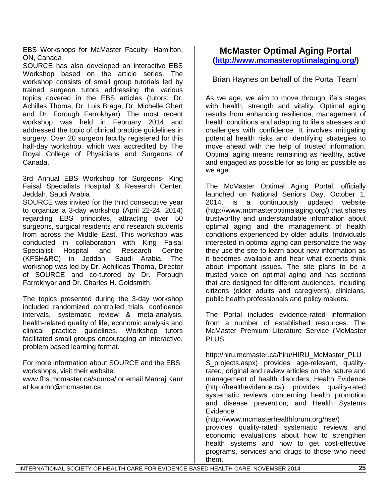EBS Workshops for McMaster Faculty- Hamilton, ON, Canada

SOURCE has also developed an interactive EBS Workshop based on the article series. The workshop consists of small group tutorials led by trained surgeon tutors addressing the various topics covered in the EBS articles (tutors: Dr. Achilles Thoma, Dr. Luis Braga, Dr. Michelle Ghert and Dr. Forough Farrokhyar). The most recent workshop was held in February 2014 and addressed the topic of clinical practice guidelines in surgery. Over 20 surgeon faculty registered for this half-day workshop, which was accredited by The Royal College of Physicians and Surgeons of Canada.

3rd Annual EBS Workshop for Surgeons- King Faisal Specialists Hospital & Research Center, Jeddah, Saudi Arabia

SOURCE was invited for the third consecutive year to organize a 3-day workshop (April 22-24, 2014) regarding EBS principles, attracting over 50 surgeons, surgical residents and research students from across the Middle East. This workshop was conducted in collaboration with King Faisal Specialist Hospital and Research Centre (KFSH&RC) in Jeddah, Saudi Arabia. The workshop was led by Dr. Achilleas Thoma, Director of SOURCE and co-tutored by Dr. Forough Farrokhyar and Dr. Charles H. Goldsmith.

The topics presented during the 3-day workshop included randomized controlled trials, confidence intervals, systematic review & meta-analysis, health-related quality of life, economic analysis and clinical practice guidelines. Workshop tutors facilitated small groups encouraging an interactive, problem based learning format.

For more information about SOURCE and the EBS workshops, visit their website:

www.fhs.mcmaster.ca/source/ or email Manraj Kaur at kaurmn@mcmaster.ca.

# **McMaster Optimal Aging Portal [\(http://www.mcmasteroptimalaging.org/\)](http://www.mcmasteroptimalaging.org/)**

Brian Haynes on behalf of the Portal Team<sup>1</sup>

As we age, we aim to move through life's stages with health, strength and vitality. Optimal aging results from enhancing resilience, management of health conditions and adapting to life's stresses and challenges with confidence. It involves mitigating potential health risks and identifying strategies to move ahead with the help of trusted information. Optimal aging means remaining as healthy, active and engaged as possible for as long as possible as we age.

The McMaster Optimal Aging Portal, officially launched on National Seniors Day, October 1, 2014, is a continuously updated website (http://www.mcmasteroptimalaging.org/) that shares trustworthy and understandable information about optimal aging and the management of health conditions experienced by older adults. Individuals interested in optimal aging can personalize the way they use the site to learn about new information as it becomes available and hear what experts think about important issues. The site plans to be a trusted voice on optimal aging and has sections that are designed for different audiences, including citizens (older adults and caregivers), clinicians, public health professionals and policy makers.

The Portal includes evidence-rated information from a number of established resources. The McMaster Premium Literature Service (McMaster PLUS;

http://hiru.mcmaster.ca/hiru/HIRU\_McMaster\_PLU S\_projects.aspx) provides age-relevant, qualityrated, original and review articles on the nature and management of health disorders; Health Evidence (http://healthevidence.ca) provides quality-rated systematic reviews concerning health promotion and disease prevention; and Health Systems **Evidence** 

(http://www.mcmasterhealthforum.org/hse/)

provides quality-rated systematic reviews and economic evaluations about how to strengthen health systems and how to get cost-effective programs, services and drugs to those who need them.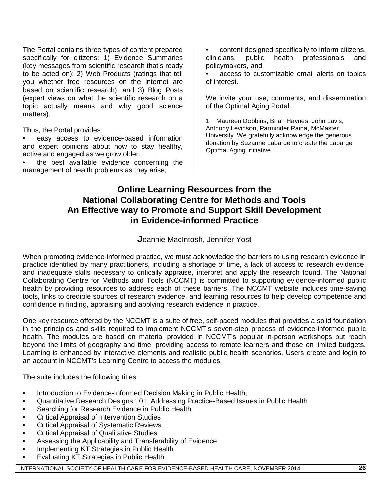The Portal contains three types of content prepared specifically for citizens: 1) Evidence Summaries (key messages from scientific research that's ready to be acted on); 2) Web Products (ratings that tell you whether free resources on the internet are based on scientific research); and 3) Blog Posts (expert views on what the scientific research on a topic actually means and why good science matters).

Thus, the Portal provides

- easy access to evidence-based information and expert opinions about how to stay healthy, active and engaged as we grow older,
- the best available evidence concerning the management of health problems as they arise,
- content designed specifically to inform citizens, clinicians, public health professionals and policymakers, and
- access to customizable email alerts on topics of interest.

We invite your use, comments, and dissemination of the Optimal Aging Portal.

1 Maureen Dobbins, Brian Haynes, John Lavis, Anthony Levinson, Parminder Raina, McMaster University. We gratefully acknowledge the generous donation by Suzanne Labarge to create the Labarge Optimal Aging Initiative.

# **Online Learning Resources from the National Collaborating Centre for Methods and Tools An Effective way to Promote and Support Skill Development in Evidence-informed Practice**

# **J**eannie MacIntosh, Jennifer Yost

When promoting evidence-informed practice, we must acknowledge the barriers to using research evidence in practice identified by many practitioners, including a shortage of time, a lack of access to research evidence, and inadequate skills necessary to critically appraise, interpret and apply the research found. The National Collaborating Centre for Methods and Tools (NCCMT) is committed to supporting evidence-informed public health by providing resources to address each of these barriers. The NCCMT website includes time-saving tools, links to credible sources of research evidence, and learning resources to help develop competence and confidence in finding, appraising and applying research evidence in practice.

One key resource offered by the NCCMT is a suite of free, self-paced modules that provides a solid foundation in the principles and skills required to implement NCCMT's seven-step process of evidence-informed public health. The modules are based on material provided in NCCMT's popular in-person workshops but reach beyond the limits of geography and time, providing access to remote learners and those on limited budgets. Learning is enhanced by interactive elements and realistic public health scenarios. Users create and login to an account in NCCMT's Learning Centre to access the modules.

The suite includes the following titles:

- Introduction to Evidence-Informed Decision Making in Public Health,
- Quantitative Research Designs 101: Addressing Practice-Based Issues in Public Health
- Searching for Research Evidence in Public Health
- Critical Appraisal of Intervention Studies
- Critical Appraisal of Systematic Reviews
- Critical Appraisal of Qualitative Studies
- Assessing the Applicability and Transferability of Evidence
- Implementing KT Strategies in Public Health
- Evaluating KT Strategies in Public Health

INTERNATIONAL SOCIETY OF HEALTH CARE FOR EVIDENCE-BASED HEALTH CARE, NOVEMBER 2014 **26**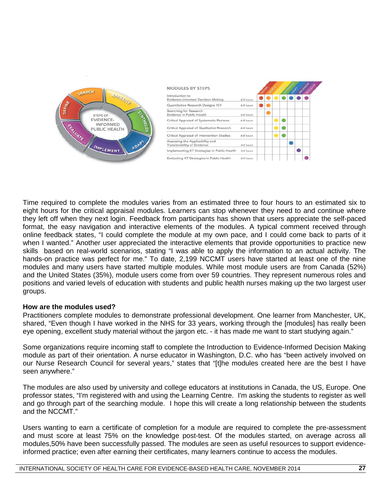| CEARCH                                                                                                               | <b>MODULES BY STEPS</b>                                        |           |  |  |  | <b>ROAD</b> |
|----------------------------------------------------------------------------------------------------------------------|----------------------------------------------------------------|-----------|--|--|--|-------------|
| <b>AUDITALS</b>                                                                                                      | Introduction to<br>Evidence-Informed Decision Making           | 4-5 hours |  |  |  |             |
| DEFINE<br><b>CANTHESIZE</b><br>STEPS OF<br><b>EVIDENCE-</b><br><b>INFORMED</b><br>FLALUATE<br>PUBLIC HEALTH<br>ADAPT | Quantitative Research Designs 101                              | 4-5 hours |  |  |  |             |
|                                                                                                                      | Searching for Research<br>Evidence in Public Health            | 5-6 hours |  |  |  |             |
|                                                                                                                      | Critical Appraisal of Systematic Reviews                       | 6-8 hours |  |  |  |             |
|                                                                                                                      | Critical Appraisal of Qualitative Research                     | 6-8 hours |  |  |  |             |
|                                                                                                                      | Critical Appraisal of Intervention Studies                     | 6-8 hours |  |  |  |             |
|                                                                                                                      | Assessing the Applicability and<br>Transferability of Evidence | 3-4 hours |  |  |  |             |
| IMPLEMENT                                                                                                            | Implementing KT Strategies in Public Health                    | 3-4 hours |  |  |  |             |
|                                                                                                                      | Evaluating KT Strategies in Public Health                      | 3-4 hours |  |  |  |             |

Time required to complete the modules varies from an estimated three to four hours to an estimated six to eight hours for the critical appraisal modules. Learners can stop whenever they need to and continue where they left off when they next login. Feedback from participants has shown that users appreciate the self-paced format, the easy navigation and interactive elements of the modules. A typical comment received through online feedback states, "I could complete the module at my own pace, and I could come back to parts of it when I wanted." Another user appreciated the interactive elements that provide opportunities to practice new skills based on real-world scenarios, stating "I was able to apply the information to an actual activity. The hands-on practice was perfect for me." To date, 2,199 NCCMT users have started at least one of the nine modules and many users have started multiple modules. While most module users are from Canada (52%) and the United States (35%), module users come from over 59 countries. They represent numerous roles and positions and varied levels of education with students and public health nurses making up the two largest user groups.

### **How are the modules used?**

Practitioners complete modules to demonstrate professional development. One learner from Manchester, UK, shared, "Even though I have worked in the NHS for 33 years, working through the [modules] has really been eye opening, excellent study material without the jargon etc. - it has made me want to start studying again."

Some organizations require incoming staff to complete the Introduction to Evidence-Informed Decision Making module as part of their orientation. A nurse educator in Washington, D.C. who has "been actively involved on our Nurse Research Council for several years," states that "[t]he modules created here are the best I have seen anywhere."

The modules are also used by university and college educators at institutions in Canada, the US, Europe. One professor states, "I'm registered with and using the Learning Centre. I'm asking the students to register as well and go through part of the searching module. I hope this will create a long relationship between the students and the NCCMT."

Users wanting to earn a certificate of completion for a module are required to complete the pre-assessment and must score at least 75% on the knowledge post-test. Of the modules started, on average across all modules,50% have been successfully passed. The modules are seen as useful resources to support evidenceinformed practice; even after earning their certificates, many learners continue to access the modules.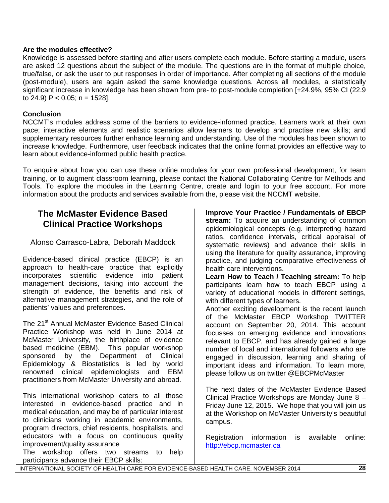### **Are the modules effective?**

Knowledge is assessed before starting and after users complete each module. Before starting a module, users are asked 12 questions about the subject of the module. The questions are in the format of multiple choice, true/false, or ask the user to put responses in order of importance. After completing all sections of the module (post-module), users are again asked the same knowledge questions. Across all modules, a statistically significant increase in knowledge has been shown from pre- to post-module completion [+24.9%, 95% CI (22.9 to 24.9)  $P < 0.05$ ; n = 1528].

## **Conclusion**

NCCMT's modules address some of the barriers to evidence-informed practice. Learners work at their own pace; interactive elements and realistic scenarios allow learners to develop and practise new skills; and supplementary resources further enhance learning and understanding. Use of the modules has been shown to increase knowledge. Furthermore, user feedback indicates that the online format provides an effective way to learn about evidence-informed public health practice.

To enquire about how you can use these online modules for your own professional development, for team training, or to augment classroom learning, please contact the National Collaborating Centre for Methods and Tools. To explore the modules in the Learning Centre, create and login to your free account. For more information about the products and services available from the, please visit the NCCMT website.

# **The McMaster Evidence Based Clinical Practice Workshops**

Alonso Carrasco-Labra, Deborah Maddock

Evidence-based clinical practice (EBCP) is an approach to health-care practice that explicitly incorporates scientific evidence into patient management decisions, taking into account the strength of evidence, the benefits and risk of alternative management strategies, and the role of patients' values and preferences.

The 21<sup>st</sup> Annual McMaster Evidence Based Clinical Practice Workshop was held in June 2014 at McMaster University, the birthplace of evidence based medicine (EBM). This popular workshop sponsored by the Department of Clinical Epidemiology & Biostatistics is led by world renowned clinical epidemiologists and EBM practitioners from McMaster University and abroad.

This international workshop caters to all those interested in evidence-based practice and in medical education, and may be of particular interest to clinicians working in academic environments, program directors, chief residents, hospitalists, and educators with a focus on continuous quality improvement/quality assurance

The workshop offers two streams to help participants advance their EBCP skills:

**Improve Your Practice / Fundamentals of EBCP stream:** To acquire an understanding of common epidemiological concepts (e.g. interpreting hazard ratios, confidence intervals, critical appraisal of systematic reviews) and advance their skills in using the literature for quality assurance, improving practice, and judging comparative effectiveness of health care interventions.

**Learn How to Teach / Teaching stream:** To help participants learn how to teach EBCP using a variety of educational models in different settings, with different types of learners.

Another exciting development is the recent launch of the McMaster EBCP Workshop TWITTER account on September 20, 2014. This account focusses on emerging evidence and innovations relevant to EBCP, and has already gained a large number of local and international followers who are engaged in discussion, learning and sharing of important ideas and information. To learn more, please follow us on twitter @EBCPMcMaster

The next dates of the McMaster Evidence Based Clinical Practice Workshops are Monday June 8 – Friday June 12, 2015. We hope that you will join us at the Workshop on McMaster University's beautiful campus.

Registration information is available online: [http://ebcp.mcmaster.ca](http://ebcp.mcmaster.ca/)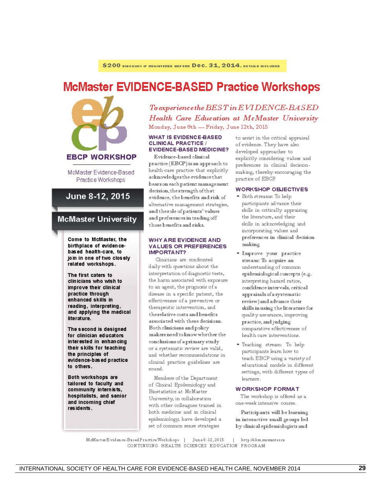# **McMaster EVIDENCE-BASED Practice Workshops**



McMaster Evidence-Based Practice Workshops

## June 8-12, 2015

### **McMaster University**

Come to McMaster, the birthplace of evidencebased health-care, to join in one of two closely related workshops.

The first caters to clinicians who wish to improve their clinical practice through enhanced skills in reading, interpreting, and applying the medical literature.

The second is designed for clinician educators interested in enhancing their skills for teaching the principles of evidence-based practice to others.

Both workshops are tailored to faculty and community internists, hospitalists, and senior and incoming chief residents

# To experience the BEST in EVIDENCE-BASED Health Care Education at McMaster University Monday, June 8th - Friday, June 12th, 2015

#### **WHAT IS EVIDENCE-BASED CLINICAL PRACTICE / EVIDENCE-BASED MEDICINE?**

Evidence-based clinical practice (EBCP) is an approach to health-care practice that explicitly acknowledges the evidence that bears on each patient management decision, the strength of that evidence, the benefits and risk of alternative management strategies, and the role of patients' values and preferences in trading off those benefits and risks.

#### **WHY ARE EVIDENCE AND VALUES OR PREFERENCES IMPORTANT?**

Clinicians are confronted daily with questions about the interpretation of diagnostic tests, the harm associated with exposure to an agent, the prognosis of a disease in a specific patient, the effectiveness of a preventive or therapeutic intervention, and the relative costs and benefits associated with these decisions. Both clinicians and policy makers need to know whether the conclusions of a primary study or a systematic review are valid, and whether recommendations in clinical practice guidelines are sound.

Members of the Department of Clinical Epidemiology and Biostatistics at McMaster University, in collaboration with other colleagues trained in both medicine and in clinical epidemiology, have developed a set of common sense strategies

to assist in the critical appraisal of evidence. They have also developed approaches to explicitly considering values and preferences in clinical decisionmaking, thereby encouraging the practice of EBCP.

#### **WORKSHOP OBJECTIVES**

- · Both streams: To help participants advance their skills in critically appraising the literature, and their skills in acknowledging and incorporating values and preferences in clinical decision making
- · Improve your practice stream: To acquire an understanding of common epidemiological concepts (e.g. interpreting hazard ratios, confidence intervals, critical appraisals of a systematic review) and advance their skills in using the literature for quality assurance, improving practice, and judging comparative effectiveness of health care interventions.
- · Teaching stream: To help participants learn how to teach EBCP using a variety of educational models in different settings, with different types of learners.

#### **WORKSHOP FORMAT**

The workshop is offered as a one-week intensive course.

Participants will be learning in interactive small groups led by clinical epidemiologists and

McMasterEvidence-BasedPracticeWorkshops | June 8-12, 2015 | http://ebm.mcmaster.ca CONTINUING HEALTH SCIENCES EDUCATION PROGRAM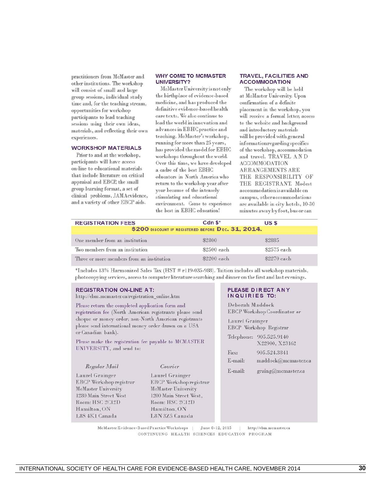practitioners from McMaster and other institutions. The workshop will consist of small and large group sessions, individual study time and, for the teaching stream, opportunities for workshop participants to lead teaching sessions using their own ideas, materials, and reflecting their own experiences.

#### **WORKSHOP MATERIALS**

Prior to and at the workshop, participants will have access on-line to educational materials that include literature on critical appraisal and EBCP, the small group learning format, a set of clinical problems, JAMAevidence, and a variety of other EBCP aids.

#### **WHY COME TO MCMASTER** UNIVERSITY?

McMaster University is not only the birthplace of evidence-based medicine, and has produced the definitive evidence-based health care texts. We also continue to lead the world in innovation and advances in EBHC practice and teaching. McMaster's workshop, running for more than 25 years, has provided the model for EBHC workshops throughout the world. Over this time, we have developed a cadre of the best EBHC educators in North America who return to the workshop year after year because of the intensely stimulating and educational environment. Come to experience the best in EBHC education!

#### **TRAVEL, FACILITIES AND ACCOMMODATION**

The workshop will be held at McMaster University. Upon confirmation of a definite placement in the workshop, you will receive a formal letter, access to the website and background and introductory materials will be provided with general information regarding specifics of the workshop, accommodation and travel. TRAVEL AND **ACCOMMODATION ARRANGEMENTS ARE** THE RESPONSIBILITY OF THE REGISTRANT. Modest accommodation is available on campus, otheraccommodations are available in city hotels, 10-30 minutes away by foot, bus or car.

| <b>REGISTRATION FEES</b>                  | $Cdn S^*$                                          | US <sub>S</sub> |
|-------------------------------------------|----------------------------------------------------|-----------------|
|                                           | \$200 DISCOUNT IF REGISTERED BEFORE DEC. 31, 2014. |                 |
| One member from an institution            | \$2800                                             | \$2885          |
| Two members from an institution           | \$2500 each                                        | \$2575 each     |
| Three or more members from an institution | \$2200 each                                        | \$2270 each     |

\*Includes 13% Harmonized Sales Tax (HST # r119-035-988). Tuition includes all workshop materials. photoeopying services, access to computer literature searching and dinner on the first and last evenings.

#### **REGISTRATION ON-LINE AT:**

http://ebm.mcmaster.ca/registration\_online.htm

Please return the completed application form and registration fee (North American registrants please send cheque or money order; non-North American registrants please send international money order drawn on a USA or Canadian bank).

Please make the registration fee payable to MCMASTER UNIVERSITY, and send to:

| Regular Mail                  |
|-------------------------------|
| Laurel Grainger               |
| <b>EBCP</b> Workshop registra |
| McMaster University           |
| 1280 Main Street West         |
| Room: HSC 2C12D               |
| Hamilton. ON                  |
| L8S 4K1 Canada                |

#### Courier

Laurel Grainger **EBCP Workshop registrar McMaster University** 1200 Main Street West, Room: HSC 2C12D Hamilton, ON L8N 3Z5 Canada

#### PLEASE DIRECT ANY INQUIRIES TO:

Deborah Maddock **EBCP** Workshop Coordinator or

**Laurel Grainger** EBCP Workshop Registrar Telephone: 905.525.9140 X22900, X23162 Fax: 905.524.3841 E-mail: maddock@mcmaster.ca E-mail: graing@mcmaster.ca

McMaster Evidence-Based Practice Workshops | June 8-12, 2015 | http://ebm.mcmaster.ca CONTINUING HEALTH SCIENCES EDUCATION PROGRAM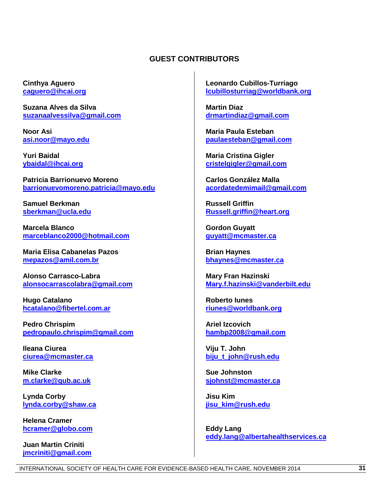## **GUEST CONTRIBUTORS**

**Cinthya Aguero [caguero@ihcai.org](mailto:caguero@ihcai.org)**

**Suzana Alves da Silv[a](mailto:suzanaalvessilva@gmail.com) [suzanaalvessilva@gmail.com](mailto:suzanaalvessilva@gmail.com)**

**Noor Asi [asi.noor@mayo.edu](mailto:asi.noor@mayo.edu)**

**Yuri Baidal [ybaidal@ihcai.org](mailto:ybaidal@ihcai.org)**

**Patricia Barrionuevo Moreno [barrionuevomoreno.patricia@mayo.edu](mailto:barrionuevomoreno.patricia@mayo.edu)**

**Samuel Berkman [sberkman@ucla.edu](mailto:sberkman@ucla.edu)**

**Marcela Blanco [marceblanco2000@hotmail.com](mailto:marceblanco2000@hotmail.com)**

**Maria Elisa Cabanelas Pazos [mepazos@amil.com.br](mailto:mepazos@amil.com.br)**

**Alonso Carrasco-Labra [alonsocarrascolabra@gmail.com](mailto:alonsocarrascolabra@gmail.com)**

**Hugo Catalano [hcatalano@fibertel.com.ar](mailto:hcatalano@fibertel.com.ar)**

**Pedro Chrispim [pedropaulo.chrispim@gmail.com](mailto:pedropaulo.chrispim@gmail.com)**

**Ileana Ciurea [ciurea@mcmaster.ca](mailto:ciurea@mcmaster.ca)**

**Mike Clarke [m.clarke@qub.ac.uk](mailto:m.clarke@qub.ac.uk)**

**Lynda Corby [lynda.corby@shaw.ca](mailto:lynda.corby@shaw.ca)**

**Helena Cramer [hcramer@globo.com](mailto:hcramer@globo.com)**

**Juan Martin Criniti [jmcriniti@gmail.com](mailto:jmcriniti@gmail.com)** **Leonardo Cubillos-Turriago [lcubillosturriag@worldbank.org](mailto:lcubillosturriag@worldbank.org)**

**Martin Diaz [drmartindiaz@gmail.com](mailto:drmartindiaz@gmail.com)**

**Maria Paula Esteban [paulaesteban@gmail.com](mailto:paulaesteban@gmail.com)**

**Maria Cristina Gigler [cristelgigler@gmail.com](mailto:cristelgigler@gmail.com)**

**Carlos González Malla [acordatedemimail@gmail.com](mailto:acordatedemimail@gmail.com)**

**Russell Griffin [Russell.griffin@heart.org](mailto:Russell.griffin@heart.org)**

**Gordon Guyatt [guyatt@mcmaster.ca](mailto:guyatt@mcmaster.ca)**

**Brian Haynes [bhaynes@mcmaster.ca](mailto:bhaynes@mcmaster.ca)**

**Mary Fran Hazinski [Mary.f.hazinski@vanderbilt.edu](mailto:Mary.f.hazinski@vanderbilt.edu)**

**Roberto Iunes [riunes@worldbank.org](mailto:riunes@worldbank.org)**

**Ariel Izcovich [hambp2008@gmail.com](mailto:hambp2008@gmail.com)**

**Viju T. John [biju\\_t\\_john@rush.edu](mailto:biju_t_john@rush.edu)**

**Sue Johnston [sjohnst@mcmaster.ca](mailto:sjohnst@mcmaster.ca)**

**Jisu Kim [jisu\\_kim@rush.edu](mailto:jisu_kim@rush.edu)**

**Eddy Lang [eddy.lang@albertahealthservices.ca](mailto:eddy.lang@albertahealthservices.ca)**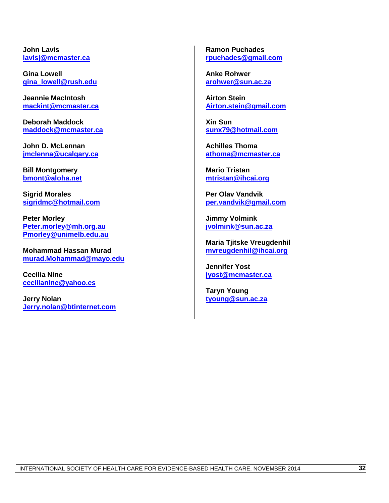**John Lavis [lavisj@mcmaster.ca](mailto:lavisj@mcmaster.ca)**

**Gina Lowell [gina\\_lowell@rush.edu](mailto:gina_lowell@rush.edu)**

**Jeannie MacIntosh [mackint@mcmaster.ca](mailto:mackint@mcmaster.ca)**

**Deborah Maddock [maddock@mcmaster.ca](mailto:maddock@mcmaster.ca)**

**John D. McLennan [jmclenna@ucalgary.ca](mailto:jmclenna@ucalgary.ca)**

**Bill Montgomery [bmont@aloha.net](mailto:bmont@aloha.net)**

**Sigrid Morales [sigridmc@hotmail.com](mailto:sigridmc@hotmail.com)**

**Peter Morley [Peter.morley@mh.org.au](mailto:Peter.morley@mh.org.au) [Pmorley@unimelb.edu.au](mailto:Pmorley@unimelb.edu.au)**

**Mohammad Hassan Murad [murad.Mohammad@mayo.edu](mailto:murad.Mohammad@mayo.edu)**

**Cecilia Nine [cecilianine@yahoo.es](mailto:cecilianine@yahoo.es)**

**Jerry Nolan [Jerry.nolan@btinternet.com](mailto:Jerry.nolan@btinternet.com)** **Ramon Puchades [rpuchades@gmail.com](mailto:rpuchades@gmail.com)**

**Anke Rohwer [arohwer@sun.ac.za](mailto:arohwer@sun.ac.za)**

**Airton Stein [Airton.stein@gmail.com](mailto:Airton.stein@gmail.com)**

**Xin Sun [sunx79@hotmail.com](mailto:sunx79@hotmail.com)**

**Achilles Thoma [athoma@mcmaster.ca](mailto:athoma@mcmaster.ca)**

**Mario Tristan [mtristan@ihcai.org](mailto:mtristan@ihcai.org)**

**Per Olav Vandvik [per.vandvik@gmail.com](mailto:per.vandvik@gmail.com)**

**Jimmy Volmink [jvolmink@sun.ac.za](mailto:jvolmink@sun.ac.za)**

**Maria Tjitske Vreugdenhil [mvreugdenhil@ihcai.org](mailto:mvreugdenhil@ihcai.org)**

**Jennifer Yost [jyost@mcmaster.ca](mailto:jyost@mcmaster.ca)**

**Taryn Young [tyoung@sun.ac.za](mailto:tyoung@sun.ac.za)**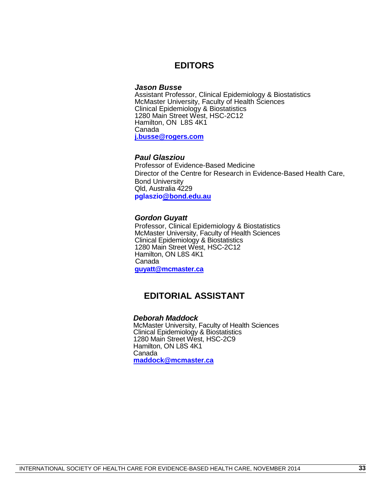# **EDITORS**

### *Jason Busse*

Assistant Professor, Clinical Epidemiology & Biostatistics McMaster University, Faculty of Health Sciences Clinical Epidemiology & Biostatistics 1280 Main Street West, HSC-2C12 Hamilton, ON L8S 4K1 Canada **[j.busse@rogers.com](mailto:j.busse@rogers.com)**

## *Paul Glasziou*

Professor of Evidence-Based Medicine Director of the Centre for Research in Evidence-Based Health Care, Bond University Qld, Australia 4229 **pglaszi[o@bond.edu.au](mailto:Paul_Glasziou@bond.edu.au)**

#### *Gordon Guyatt*

Professor, Clinical Epidemiology & Biostatistics McMaster University, Faculty of Health Sciences Clinical Epidemiology & Biostatistics 1280 Main Street West, HSC-2C12 Hamilton, ON L8S 4K1 Canada **[guyatt@mcmaster.ca](mailto:guyatt@mcmaster.ca)**

# **EDITORIAL ASSISTANT**

### *Deborah Maddock*

McMaster University, Faculty of Health Sciences Clinical Epidemiology & Biostatistics 1280 Main Street West, HSC-2C9 Hamilton, ON L8S 4K1 Canada **[maddock@mcmaster.ca](mailto:maddock@mcmaster.ca)**